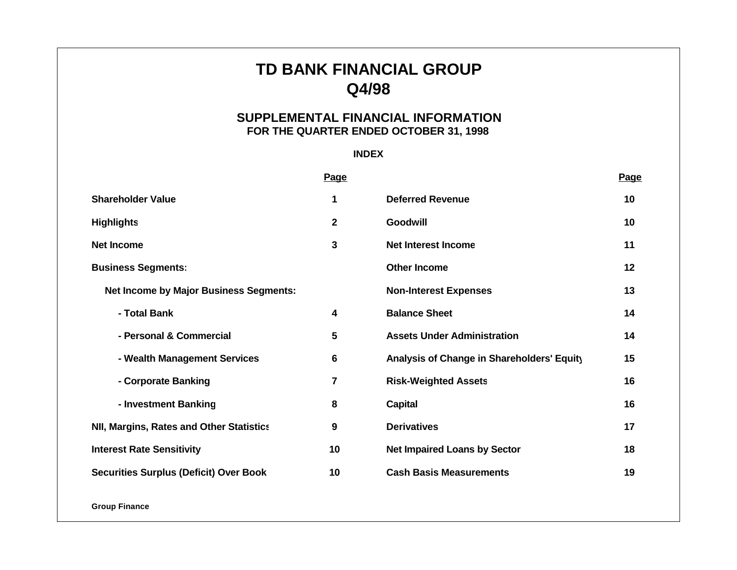# **TD BANK FINANCIAL GROUP Q4/98**

# **SUPPLEMENTAL FINANCIAL INFORMATION FOR THE QUARTER ENDED OCTOBER 31, 1998**

# **INDEX**

|                                                 | Page            |                                            | Page |
|-------------------------------------------------|-----------------|--------------------------------------------|------|
| <b>Shareholder Value</b>                        | 1               | <b>Deferred Revenue</b>                    | 10   |
| <b>Highlights</b>                               | $\mathbf 2$     | <b>Goodwill</b>                            | 10   |
| <b>Net Income</b>                               | $\mathbf{3}$    | <b>Net Interest Income</b>                 | 11   |
| <b>Business Segments:</b>                       |                 | <b>Other Income</b>                        | 12   |
| <b>Net Income by Major Business Segments:</b>   |                 | <b>Non-Interest Expenses</b>               | 13   |
| - Total Bank                                    | 4               | <b>Balance Sheet</b>                       | 14   |
| - Personal & Commercial                         | 5               | <b>Assets Under Administration</b>         | 14   |
| - Wealth Management Services                    | $6\phantom{1}6$ | Analysis of Change in Shareholders' Equity | 15   |
| - Corporate Banking                             | $\overline{7}$  | <b>Risk-Weighted Assets</b>                | 16   |
| - Investment Banking                            | 8               | <b>Capital</b>                             | 16   |
| <b>NII, Margins, Rates and Other Statistics</b> | 9               | <b>Derivatives</b>                         | 17   |
| <b>Interest Rate Sensitivity</b>                | 10              | <b>Net Impaired Loans by Sector</b>        | 18   |
| <b>Securities Surplus (Deficit) Over Book</b>   | 10              | <b>Cash Basis Measurements</b>             | 19   |

**Group Finance**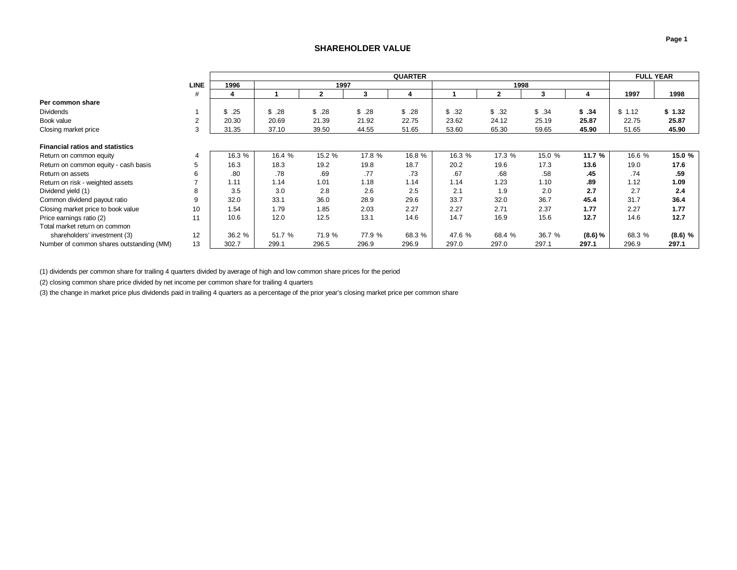### **SHAREHOLDER VALUE**

<span id="page-1-0"></span>

|                                          |             |        | <b>QUARTER</b> |        |        |        |        |        |        |         |        | <b>FULL YEAR</b> |
|------------------------------------------|-------------|--------|----------------|--------|--------|--------|--------|--------|--------|---------|--------|------------------|
|                                          | <b>LINE</b> | 1996   |                | 1997   |        |        |        | 1998   |        |         |        |                  |
|                                          | #           |        |                | 2      |        |        |        | 2      |        | 4       | 1997   | 1998             |
| Per common share                         |             |        |                |        |        |        |        |        |        |         |        |                  |
| <b>Dividends</b>                         |             | \$.25  | \$.28          | \$.28  | \$.28  | \$.28  | \$.32  | \$.32  | \$.34  | \$.34   | \$1.12 | \$1.32           |
| Book value                               | 2           | 20.30  | 20.69          | 21.39  | 21.92  | 22.75  | 23.62  | 24.12  | 25.19  | 25.87   | 22.75  | 25.87            |
| Closing market price                     | 3           | 31.35  | 37.10          | 39.50  | 44.55  | 51.65  | 53.60  | 65.30  | 59.65  | 45.90   | 51.65  | 45.90            |
|                                          |             |        |                |        |        |        |        |        |        |         |        |                  |
| <b>Financial ratios and statistics</b>   |             |        |                |        |        |        |        |        |        |         |        |                  |
| Return on common equity                  | 4           | 16.3 % | 16.4 %         | 15.2 % | 17.8 % | 16.8 % | 16.3 % | 17.3 % | 15.0 % | 11.7 %  | 16.6 % | 15.0 %           |
| Return on common equity - cash basis     |             | 16.3   | 18.3           | 19.2   | 19.8   | 18.7   | 20.2   | 19.6   | 17.3   | 13.6    | 19.0   | 17.6             |
| Return on assets                         |             | .80    | .78            | .69    | .77    | .73    | .67    | .68    | .58    | .45     | .74    | .59              |
| Return on risk - weighted assets         |             | 1.11   | 1.14           | 1.01   | 1.18   | 1.14   | 1.14   | 1.23   | 1.10   | .89     | 1.12   | 1.09             |
| Dividend yield (1)                       |             | 3.5    | 3.0            | 2.8    | 2.6    | 2.5    | 2.1    | 1.9    | 2.0    | 2.7     | 2.7    | 2.4              |
| Common dividend payout ratio             | 9           | 32.0   | 33.1           | 36.0   | 28.9   | 29.6   | 33.7   | 32.0   | 36.7   | 45.4    | 31.7   | 36.4             |
| Closing market price to book value       | 10          | 1.54   | 1.79           | 1.85   | 2.03   | 2.27   | 2.27   | 2.71   | 2.37   | 1.77    | 2.27   | 1.77             |
| Price earnings ratio (2)                 | 11          | 10.6   | 12.0           | 12.5   | 13.1   | 14.6   | 14.7   | 16.9   | 15.6   | 12.7    | 14.6   | 12.7             |
| Total market return on common            |             |        |                |        |        |        |        |        |        |         |        |                  |
| shareholders' investment (3)             | 12          | 36.2 % | 51.7 %         | 71.9 % | 77.9 % | 68.3 % | 47.6 % | 68.4 % | 36.7 % | (8.6) % | 68.3 % | $(8.6)$ %        |
| Number of common shares outstanding (MM) | 13          | 302.7  | 299.1          | 296.5  | 296.9  | 296.9  | 297.0  | 297.0  | 297.1  | 297.1   | 296.9  | 297.1            |

(1) dividends per common share for trailing 4 quarters divided by average of high and low common share prices for the period

(2) closing common share price divided by net income per common share for trailing 4 quarters

(3) the change in market price plus dividends paid in trailing 4 quarters as a percentage of the prior year's closing market price per common share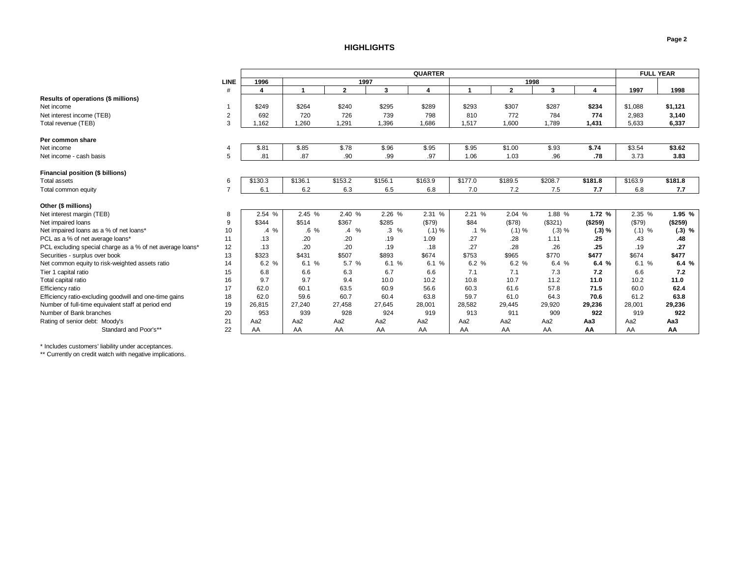#### **HIGHLIGHTS**

<span id="page-2-0"></span>

|                                                           |                | <b>QUARTER</b>          |         |                |         |         |         |                |         |         | <b>FULL YEAR</b> |          |
|-----------------------------------------------------------|----------------|-------------------------|---------|----------------|---------|---------|---------|----------------|---------|---------|------------------|----------|
|                                                           | <b>LINE</b>    | 1996                    |         | 1997           |         |         |         | 1998           |         |         |                  |          |
|                                                           | #              | $\overline{\mathbf{4}}$ | 1       | $\overline{2}$ | 3       | 4       | 1       | $\overline{2}$ | 3       | 4       | 1997             | 1998     |
| Results of operations (\$ millions)                       |                |                         |         |                |         |         |         |                |         |         |                  |          |
| Net income                                                |                | \$249                   | \$264   | \$240          | \$295   | \$289   | \$293   | \$307          | \$287   | \$234   | \$1,088          | \$1,121  |
| Net interest income (TEB)                                 | $\overline{2}$ | 692                     | 720     | 726            | 739     | 798     | 810     | 772            | 784     | 774     | 2,983            | 3,140    |
| Total revenue (TEB)                                       | 3              | .162                    | 1.260   | 1.291          | 1.396   | 1.686   | 1,517   | 1.600          | 1,789   | 1,431   | 5,633            | 6,337    |
|                                                           |                |                         |         |                |         |         |         |                |         |         |                  |          |
| Per common share                                          |                |                         |         |                |         |         |         |                |         |         |                  |          |
| Net income                                                |                | \$.81                   | \$.85   | \$.78          | \$.96   | \$.95   | \$.95   | \$1.00         | \$.93   | \$.74   | \$3.54           | \$3.62   |
| Net income - cash basis                                   | 5              | .81                     | .87     | .90            | .99     | .97     | 1.06    | 1.03           | .96     | .78     | 3.73             | 3.83     |
|                                                           |                |                         |         |                |         |         |         |                |         |         |                  |          |
| Financial position (\$ billions)                          |                |                         |         |                |         |         |         |                |         |         |                  |          |
| Total assets                                              | 6              | \$130.3                 | \$136.1 | \$153.2        | \$156.1 | \$163.9 | \$177.0 | \$189.5        | \$208.7 | \$181.8 | \$163.9          | \$181.8  |
| Total common equity                                       |                | 6.1                     | 6.2     | 6.3            | 6.5     | 6.8     | 7.0     | 7.2            | 7.5     | 7.7     | 6.8              | 7.7      |
|                                                           |                |                         |         |                |         |         |         |                |         |         |                  |          |
| Other (\$ millions)                                       |                |                         |         |                |         |         |         |                |         |         |                  |          |
| Net interest margin (TEB)                                 | 8              | 2.54 %                  | 2.45 %  | 2.40 %         | 2.26 %  | 2.31 %  | 2.21 %  | 2.04 %         | 1.88 %  | 1.72 %  | 2.35 %           | 1.95 %   |
| Net impaired loans                                        | 9              | \$344                   | \$514   | \$367          | \$285   | (\$79)  | \$84    | (\$78)         | (\$321) | (\$259) | (\$79)           | (\$259)  |
| Net impaired loans as a % of net loans*                   | 10             | $.4\%$                  | $.6\%$  | $.4\%$         | $.3\%$  | (.1) %  | $.1\%$  | (.1) %         | (.3) %  | (.3) %  | $(.1)$ %         | $(.3)$ % |
| PCL as a % of net average loans*                          | 11             | .13                     | .20     | .20            | .19     | 1.09    | .27     | .28            | 1.11    | .25     | .43              | .48      |
| PCL excluding special charge as a % of net average loans* | 12             | .13                     | .20     | .20            | .19     | .18     | .27     | 28             | .26     | .25     | .19              | .27      |
| Securities - surplus over book                            | 13             | \$323                   | \$431   | \$507          | \$893   | \$674   | \$753   | \$965          | \$770   | \$477   | \$674            | \$477    |
| Net common equity to risk-weighted assets ratio           | 14             | 6.2%                    | 6.1 %   | 5.7 %          | 6.1%    | 6.1 %   | 6.2%    | 6.2 %          | 6.4 %   | 6.4%    | 6.1%             | 6.4 %    |
| Tier 1 capital ratio                                      | 15             | 6.8                     | 6.6     | 6.3            | 6.7     | 6.6     | 7.1     | 7.1            | 7.3     | 7.2     | 6.6              | 7.2      |
| Total capital ratio                                       | 16             | 9.7                     | 9.7     | 9.4            | 10.0    | 10.2    | 10.8    | 10.7           | 11.2    | 11.0    | 10.2             | 11.0     |
| Efficiency ratio                                          | 17             | 62.0                    | 60.1    | 63.5           | 60.9    | 56.6    | 60.3    | 61.6           | 57.8    | 71.5    | 60.0             | 62.4     |
| Efficiency ratio-excluding goodwill and one-time gains    | 18             | 62.0                    | 59.6    | 60.7           | 60.4    | 63.8    | 59.7    | 61.0           | 64.3    | 70.6    | 61.2             | 63.8     |
| Number of full-time equivalent staff at period end        | 19             | 26,815                  | 27,240  | 27,458         | 27,645  | 28,001  | 28,582  | 29,445         | 29,920  | 29,236  | 28,001           | 29,236   |
| Number of Bank branches                                   | 20             | 953                     | 939     | 928            | 924     | 919     | 913     | 911            | 909     | 922     | 919              | 922      |
| Rating of senior debt: Moody's                            | 21             | Aa2                     | Aa2     | Aa2            | Aa2     | Aa2     | Aa2     | Aa2            | Aa2     | АаЗ     | Aa <sub>2</sub>  | Aa3      |
| Standard and Poor's**                                     | 22             | AA                      | AA      | AA             | AA      | AA      | AA      | AA             | AA      | AA      | AA               | AA       |

\* Includes customers' liability under acceptances.

\*\* Currently on credit watch with negative implications.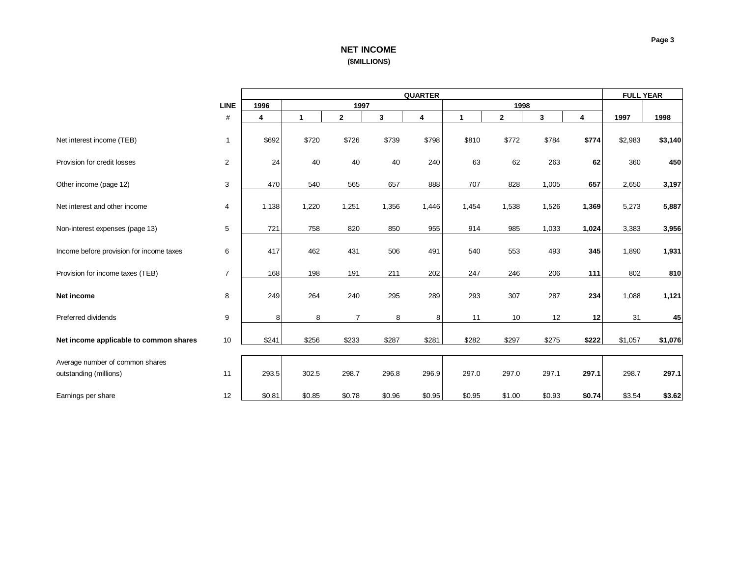# **NET INCOME (\$MILLIONS)**

<span id="page-3-0"></span>

|                                          |                | <b>QUARTER</b> |              |                |        |                         |                      |              |        |        | <b>FULL YEAR</b> |         |
|------------------------------------------|----------------|----------------|--------------|----------------|--------|-------------------------|----------------------|--------------|--------|--------|------------------|---------|
|                                          | <b>LINE</b>    | 1996           |              | 1997           |        |                         |                      | 1998         |        |        |                  |         |
|                                          | $\#$           | 4              | $\mathbf{1}$ | $\mathbf{2}$   | 3      | $\overline{\mathbf{4}}$ | $\blacktriangleleft$ | $\mathbf{2}$ | 3      | 4      | 1997             | 1998    |
|                                          |                |                |              |                |        |                         |                      |              |        |        |                  |         |
| Net interest income (TEB)                | 1              | \$692          | \$720        | \$726          | \$739  | \$798                   | \$810                | \$772        | \$784  | \$774  | \$2,983          | \$3,140 |
|                                          |                |                |              |                |        |                         |                      |              |        |        |                  |         |
| Provision for credit losses              | $\overline{2}$ | 24             | 40           | 40             | 40     | 240                     | 63                   | 62           | 263    | 62     | 360              | 450     |
|                                          |                |                |              |                |        |                         |                      |              |        |        |                  |         |
| Other income (page 12)                   | 3              | 470            | 540          | 565            | 657    | 888                     | 707                  | 828          | 1,005  | 657    | 2,650            | 3,197   |
|                                          |                |                |              |                |        |                         |                      |              |        |        |                  |         |
| Net interest and other income            | 4              | 1,138          | 1,220        | 1,251          | 1,356  | 1,446                   | 1,454                | 1,538        | 1,526  | 1,369  | 5,273            | 5,887   |
| Non-interest expenses (page 13)          | 5              | 721            | 758          | 820            | 850    | 955                     | 914                  | 985          | 1,033  | 1,024  | 3,383            | 3,956   |
|                                          |                |                |              |                |        |                         |                      |              |        |        |                  |         |
| Income before provision for income taxes | 6              | 417            | 462          | 431            | 506    | 491                     | 540                  | 553          | 493    | 345    | 1,890            | 1,931   |
|                                          |                |                |              |                |        |                         |                      |              |        |        |                  |         |
| Provision for income taxes (TEB)         | $\overline{7}$ | 168            | 198          | 191            | 211    | 202                     | 247                  | 246          | 206    | 111    | 802              | 810     |
|                                          |                |                |              |                |        |                         |                      |              |        |        |                  |         |
| Net income                               | 8              | 249            | 264          | 240            | 295    | 289                     | 293                  | 307          | 287    | 234    | 1,088            | 1,121   |
|                                          |                |                |              |                |        |                         |                      |              |        |        |                  |         |
| Preferred dividends                      | 9              | 8              | 8            | $\overline{7}$ | 8      | 8                       | 11                   | 10           | 12     | 12     | 31               | 45      |
|                                          |                |                |              |                |        |                         |                      |              |        |        |                  |         |
| Net income applicable to common shares   | 10             | \$241          | \$256        | \$233          | \$287  | \$281                   | \$282                | \$297        | \$275  | \$222  | \$1,057          | \$1,076 |
| Average number of common shares          |                |                |              |                |        |                         |                      |              |        |        |                  |         |
| outstanding (millions)                   | 11             | 293.5          | 302.5        | 298.7          | 296.8  | 296.9                   | 297.0                | 297.0        | 297.1  | 297.1  | 298.7            | 297.1   |
|                                          |                |                |              |                |        |                         |                      |              |        |        |                  |         |
| Earnings per share                       | 12             | \$0.81         | \$0.85       | \$0.78         | \$0.96 | \$0.95                  | \$0.95               | \$1.00       | \$0.93 | \$0.74 | \$3.54           | \$3.62  |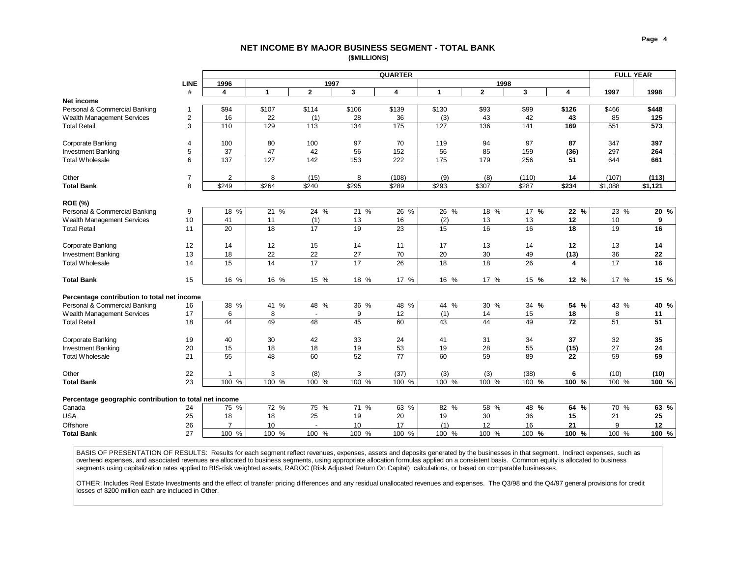#### **NET INCOME BY MAJOR BUSINESS SEGMENT - TOTAL BANK (\$MILLIONS)**

<span id="page-4-0"></span>

|                                                        |                |                |                 |                  |                  | <b>QUARTER</b> |                  |                   |                 |                  |         | <b>FULL YEAR</b> |
|--------------------------------------------------------|----------------|----------------|-----------------|------------------|------------------|----------------|------------------|-------------------|-----------------|------------------|---------|------------------|
|                                                        | <b>LINE</b>    | 1996           |                 | 1997             |                  |                |                  | 1998              |                 |                  |         |                  |
|                                                        | #              | 4              | $\mathbf{1}$    | $\overline{2}$   | 3                | 4              | $\mathbf{1}$     | $\overline{2}$    | $\mathbf{3}$    | 4                | 1997    | 1998             |
| Net income                                             |                |                |                 |                  |                  |                |                  |                   |                 |                  |         |                  |
| Personal & Commercial Banking                          | 1              | \$94           | \$107           | \$114            | \$106            | \$139          | \$130            | \$93              | \$99            | \$126            | \$466   | \$448            |
| Wealth Management Services                             | 2              | 16             | 22              | (1)              | 28               | 36             | (3)              | 43                | 42              | 43               | 85      | 125              |
| <b>Total Retail</b>                                    | 3              | 110            | 129             | 113              | 134              | 175            | 127              | 136               | 141             | 169              | 551     | 573              |
| Corporate Banking                                      | $\overline{4}$ | 100            | 80              | 100              | 97               | 70             | 119              | 94                | 97              | 87               | 347     | 397              |
| <b>Investment Banking</b>                              | 5              | 37             | 47              | 42               | 56               | 152            | 56               | 85                | 159             | (36)             | 297     | 264              |
| Total Wholesale                                        | 6              | 137            | 127             | $\overline{142}$ | $\overline{153}$ | 222            | $\overline{175}$ | 179               | 256             | 51               | 644     | 661              |
| Other                                                  | $\overline{7}$ | $\overline{2}$ | 8               | (15)             | 8                | (108)          | (9)              | (8)               | (110)           | 14               | (107)   | (113)            |
| <b>Total Bank</b>                                      | 8              | \$249          | \$264           | \$240            | \$295            | \$289          | \$293            | \$307             | \$287           | \$234            | \$1,088 | \$1,121          |
| <b>ROE (%)</b>                                         |                |                |                 |                  |                  |                |                  |                   |                 |                  |         |                  |
| Personal & Commercial Banking                          | 9              | 18 %           | $21\%$          | 24 %             | $21\%$           | 26 %           | 26 %             | 18 %              | 17 <sup>9</sup> | 22 %             | 23 %    | $20\%$           |
| Wealth Management Services                             | 10             | 41             | 11              | (1)              | 13               | 16             | (2)              | 13                | 13              | 12               | 10      | 9                |
| <b>Total Retail</b>                                    | 11             | 20             | $\overline{18}$ | 17               | 19               | 23             | 15               | 16                | 16              | 18               | 19      | 16               |
|                                                        |                |                |                 |                  |                  |                |                  |                   |                 |                  |         |                  |
| Corporate Banking                                      | 12             | 14             | 12              | 15               | 14               | 11             | 17               | 13                | 14              | 12               | 13      | 14               |
| <b>Investment Banking</b>                              | 13             | 18             | 22              | 22               | 27               | 70             | 20               | 30                | 49              | (13)             | 36      | 22               |
| <b>Total Wholesale</b>                                 | 14             | 15             | 14              | 17               | 17               | 26             | 18               | 18                | 26              | 4                | 17      | 16               |
| <b>Total Bank</b>                                      | 15             | 16 %           | 16 %            | 15 %             | 18 %             | 17 %           | 16 %             | 17 %              | 15 %            | $12 \frac{9}{6}$ | 17 %    | 15 %             |
| Percentage contribution to total net income            |                |                |                 |                  |                  |                |                  |                   |                 |                  |         |                  |
| Personal & Commercial Banking                          | 16             | 38 %           | 41 %            | 48 %             | 36 %             | 48 %           | $44\frac{9}{6}$  | 30 %              | 34 %            | 54 %             | 43 %    | 40 %             |
| Wealth Management Services                             | 17             | 6              | 8               |                  | 9                | 12             | (1)              | 14                | 15              | 18               | 8       | 11               |
| <b>Total Retail</b>                                    | 18             | 44             | 49              | 48               | 45               | 60             | 43               | 44                | 49              | 72               | 51      | 51               |
| Corporate Banking                                      | 19             | 40             | 30              | 42               | 33               | 24             | 41               | 31                | 34              | 37               | 32      | 35               |
| <b>Investment Banking</b>                              | 20             | 15             | 18              | 18               | 19               | 53             | 19               | 28                | 55              | (15)             | 27      | 24               |
| <b>Total Wholesale</b>                                 | 21             | 55             | 48              | 60               | 52               | 77             | 60               | 59                | 89              | 22               | 59      | 59               |
| Other                                                  | 22             | 1              | 3               | (8)              | 3                | (37)           | (3)              | (3)               | (38)            | 6                | (10)    | (10)             |
| <b>Total Bank</b>                                      | 23             | 100 %          | 100 %           | 100%             | 100 %            | 100 %          | 100 %            | 100 %             | 100 %           | 100 %            | 100 %   | 100 %            |
|                                                        |                |                |                 |                  |                  |                |                  |                   |                 |                  |         |                  |
| Percentage geographic contribution to total net income |                |                |                 |                  |                  |                |                  |                   |                 |                  |         |                  |
| Canada                                                 | 24             | 75 %           | 72 %            | 75 %             | 71%              | 63 %           | 82 %             | $58\frac{ }{ }$ % | $48 - 96$       | 64%              | 70 %    | 63%              |
| <b>USA</b>                                             | 25             | 18             | 18              | 25               | 19               | 20             | 19               | 30                | 36              | 15               | 21      | 25               |
| Offshore                                               | 26             | $\overline{7}$ | 10              |                  | 10               | 17             | (1)              | 12                | 16              | 21               | 9       | 12               |
| <b>Total Bank</b>                                      | 27             | 100 %          | 100 %           | 100 %            | 100 %            | 100 %          | 100 %            | 100 %             | 100 %           | 100 %            | 100 %   | 100 %            |
|                                                        |                |                |                 |                  |                  |                |                  |                   |                 |                  |         |                  |

BASIS OF PRESENTATION OF RESULTS: Results for each segment reflect revenues, expenses, assets and deposits generated by the businesses in that segment. Indirect expenses, such as overhead expenses, and associated revenues are allocated to business segments, using appropriate allocation formulas applied on a consistent basis. Common equity is allocated to business segments using capitalization rates applied to BIS-risk weighted assets, RAROC (Risk Adjusted Return On Capital) calculations, or based on comparable businesses.

OTHER: Includes Real Estate Investments and the effect of transfer pricing differences and any residual unallocated revenues and expenses. The Q3/98 and the Q4/97 general provisions for credit losses of \$200 million each are included in Other.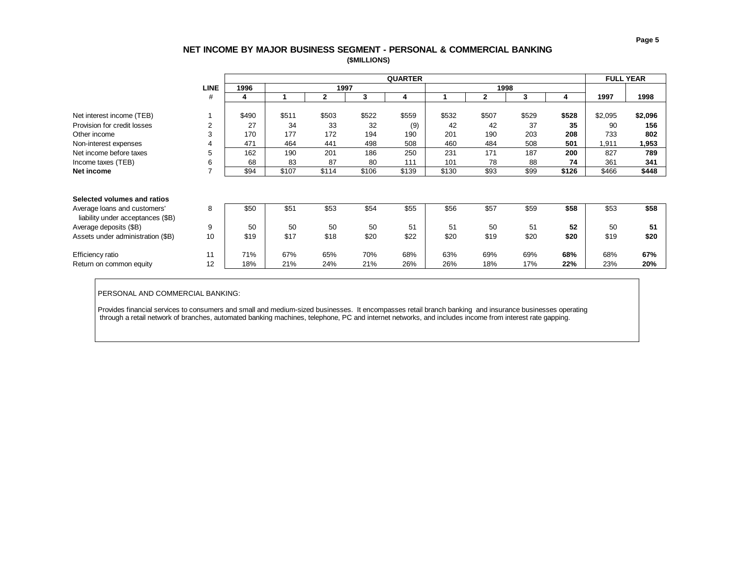# **NET INCOME BY MAJOR BUSINESS SEGMENT - PERSONAL & COMMERCIAL BANKING (\$MILLIONS)**

<span id="page-5-0"></span>

|                                   |                | <b>QUARTER</b> |       |              |       |       |       |              |       |       | <b>FULL YEAR</b> |         |
|-----------------------------------|----------------|----------------|-------|--------------|-------|-------|-------|--------------|-------|-------|------------------|---------|
|                                   | <b>LINE</b>    | 1996           |       | 1997         |       |       |       | 1998         |       |       |                  |         |
|                                   | #              | 4              |       | $\mathbf{2}$ | 3     | 4     |       | $\mathbf{2}$ | 3     | 4     | 1997             | 1998    |
|                                   |                |                |       |              |       |       |       |              |       |       |                  |         |
| Net interest income (TEB)         |                | \$490          | \$511 | \$503        | \$522 | \$559 | \$532 | \$507        | \$529 | \$528 | \$2,095          | \$2,096 |
| Provision for credit losses       | $\overline{2}$ | 27             | 34    | 33           | 32    | (9)   | 42    | 42           | 37    | 35    | 90               | 156     |
| Other income                      | 3              | 170            | 177   | 172          | 194   | 190   | 201   | 190          | 203   | 208   | 733              | 802     |
| Non-interest expenses             | 4              | 471            | 464   | 441          | 498   | 508   | 460   | 484          | 508   | 501   | 1,911            | 1,953   |
| Net income before taxes           | 5              | 162            | 190   | 201          | 186   | 250   | 231   | 171          | 187   | 200   | 827              | 789     |
| Income taxes (TEB)                | 6              | 68             | 83    | 87           | 80    | 111   | 101   | 78           | 88    | 74    | 361              | 341     |
| Net income                        | ⇁              | \$94           | \$107 | \$114        | \$106 | \$139 | \$130 | \$93         | \$99  | \$126 | \$466            | \$448   |
|                                   |                |                |       |              |       |       |       |              |       |       |                  |         |
|                                   |                |                |       |              |       |       |       |              |       |       |                  |         |
| Selected volumes and ratios       |                |                |       |              |       |       |       |              |       |       |                  |         |
| Average loans and customers'      | 8              | \$50           | \$51  | \$53         | \$54  | \$55  | \$56  | \$57         | \$59  | \$58  | \$53             | \$58    |
| liability under acceptances (\$B) |                |                |       |              |       |       |       |              |       |       |                  |         |
| Average deposits (\$B)            | 9              | 50             | 50    | 50           | 50    | 51    | 51    | 50           | 51    | 52    | 50               | 51      |
| Assets under administration (\$B) | 10             | \$19           | \$17  | \$18         | \$20  | \$22  | \$20  | \$19         | \$20  | \$20  | \$19             | \$20    |
|                                   |                |                |       |              |       |       |       |              |       |       |                  |         |
| Efficiency ratio                  | 11             | 71%            | 67%   | 65%          | 70%   | 68%   | 63%   | 69%          | 69%   | 68%   | 68%              | 67%     |
| Return on common equity           | 12             | 18%            | 21%   | 24%          | 21%   | 26%   | 26%   | 18%          | 17%   | 22%   | 23%              | 20%     |

PERSONAL AND COMMERCIAL BANKING:

Provides financial services to consumers and small and medium-sized businesses. It encompasses retail branch banking and insurance businesses operating through a retail network of branches, automated banking machines, telephone, PC and internet networks, and includes income from interest rate gapping.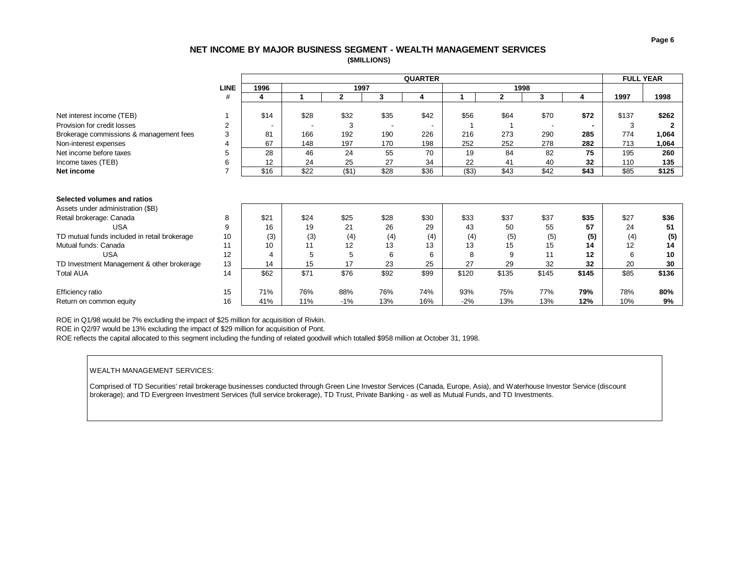### **NET INCOME BY MAJOR BUSINESS SEGMENT - WEALTH MANAGEMENT SERVICES (\$MILLIONS)**

<span id="page-6-0"></span>

|                                              |                | <b>QUARTER</b> |      |              |      |      |        |              |       |       | <b>FULL YEAR</b> |       |
|----------------------------------------------|----------------|----------------|------|--------------|------|------|--------|--------------|-------|-------|------------------|-------|
|                                              | <b>LINE</b>    | 1996           |      | 1997         |      |      |        | 1998         |       |       |                  |       |
|                                              | #              | 4              |      | $\mathbf{2}$ | 3    | 4    |        | $\mathbf{2}$ | 3     | 4     | 1997             | 1998  |
|                                              |                |                |      |              |      |      |        |              |       |       |                  |       |
| Net interest income (TEB)                    |                | \$14           | \$28 | \$32         | \$35 | \$42 | \$56   | \$64         | \$70  | \$72  | \$137            | \$262 |
| Provision for credit losses                  | $\overline{2}$ |                |      | 3            |      |      |        |              |       |       | 3                |       |
| Brokerage commissions & management fees      | 3              | 81             | 166  | 192          | 190  | 226  | 216    | 273          | 290   | 285   | 774              | 1,064 |
| Non-interest expenses                        | 4              | 67             | 148  | 197          | 170  | 198  | 252    | 252          | 278   | 282   | 713              | 1,064 |
| Net income before taxes                      | 5              | 28             | 46   | 24           | 55   | 70   | 19     | 84           | 82    | 75    | 195              | 260   |
| Income taxes (TEB)                           | 6              | 12             | 24   | 25           | 27   | 34   | 22     | 41           | 40    | 32    | 110              | 135   |
| Net income                                   | 7              | \$16           | \$22 | (\$1)        | \$28 | \$36 | ( \$3) | \$43         | \$42  | \$43  | \$85             | \$125 |
|                                              |                |                |      |              |      |      |        |              |       |       |                  |       |
| Selected volumes and ratios                  |                |                |      |              |      |      |        |              |       |       |                  |       |
| Assets under administration (\$B)            |                |                |      |              |      |      |        |              |       |       |                  |       |
| Retail brokerage: Canada                     | 8              | \$21           | \$24 | \$25         | \$28 | \$30 | \$33   | \$37         | \$37  | \$35  | \$27             | \$36  |
| <b>USA</b>                                   | 9              | 16             | 19   | 21           | 26   | 29   | 43     | 50           | 55    | 57    | 24               | 51    |
| TD mutual funds included in retail brokerage | 10             | (3)            | (3)  | (4)          | (4)  | (4)  | (4)    | (5)          | (5)   | (5)   | (4)              | (5)   |
| Mutual funds: Canada                         | 11             | 10             | 11   | 12           | 13   | 13   | 13     | 15           | 15    | 14    | 12               | 14    |
| <b>USA</b>                                   | 12             |                | 5    | 5            | 6    | 6    | 8      | 9            | 11    | 12    | 6                | 10    |
| TD Investment Management & other brokerage   | 13             | 14             | 15   | 17           | 23   | 25   | 27     | 29           | 32    | 32    | 20               | 30    |
| <b>Total AUA</b>                             | 14             | \$62           | \$71 | \$76         | \$92 | \$99 | \$120  | \$135        | \$145 | \$145 | \$85             | \$136 |

Return on common equity 16 41% 11% -1% 13% 16% -2% 13% 13% **12%** 10% **9%**

ROE in Q1/98 would be 7% excluding the impact of \$25 million for acquisition of Rivkin.

ROE in Q2/97 would be 13% excluding the impact of \$29 million for acquisition of Pont.

ROE reflects the capital allocated to this segment including the funding of related goodwill which totalled \$958 million at October 31, 1998.

#### WEALTH MANAGEMENT SERVICES:

Comprised of TD Securities' retail brokerage businesses conducted through Green Line Investor Services (Canada, Europe, Asia), and Waterhouse Investor Service (discount brokerage); and TD Evergreen Investment Services (full service brokerage), TD Trust, Private Banking - as well as Mutual Funds, and TD Investments.

Efficiency ratio 15 71% 76% 88% 76% 74% 93% 75% 77% **79%** 78% **80%**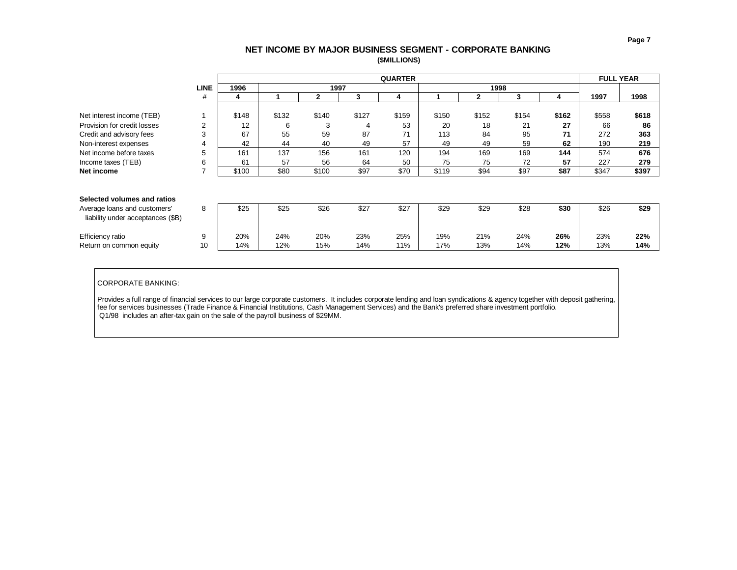## **NET INCOME BY MAJOR BUSINESS SEGMENT - CORPORATE BANKING (\$MILLIONS)**

<span id="page-7-0"></span>

|                                   |             |       |       |       |       | <b>QUARTER</b> |       |              |       |       | <b>FULL YEAR</b> |       |
|-----------------------------------|-------------|-------|-------|-------|-------|----------------|-------|--------------|-------|-------|------------------|-------|
|                                   | <b>LINE</b> | 1996  |       | 1997  |       |                |       | 1998         |       |       |                  |       |
|                                   | #           | 4     |       | 2     | 3     | 4              |       | $\mathbf{2}$ | 3     | 4     | 1997             | 1998  |
|                                   |             |       |       |       |       |                |       |              |       |       |                  |       |
| Net interest income (TEB)         |             | \$148 | \$132 | \$140 | \$127 | \$159          | \$150 | \$152        | \$154 | \$162 | \$558            | \$618 |
| Provision for credit losses       | 2           | 12    | 6     | 3     | 4     | 53             | 20    | 18           | 21    | 27    | 66               | 86    |
| Credit and advisory fees          | 3           | 67    | 55    | 59    | 87    | 71             | 113   | 84           | 95    | 71    | 272              | 363   |
| Non-interest expenses             | 4           | 42    | 44    | 40    | 49    | 57             | 49    | 49           | 59    | 62    | 190              | 219   |
| Net income before taxes           | 5           | 161   | 137   | 156   | 161   | 120            | 194   | 169          | 169   | 144   | 574              | 676   |
| Income taxes (TEB)                | 6           | 61    | 57    | 56    | 64    | 50             | 75    | 75           | 72    | 57    | 227              | 279   |
| Net income                        | 7           | \$100 | \$80  | \$100 | \$97  | \$70           | \$119 | \$94         | \$97  | \$87  | \$347            | \$397 |
|                                   |             |       |       |       |       |                |       |              |       |       |                  |       |
|                                   |             |       |       |       |       |                |       |              |       |       |                  |       |
| Selected volumes and ratios       |             |       |       |       |       |                |       |              |       |       |                  |       |
| Average loans and customers'      | 8           | \$25  | \$25  | \$26  | \$27  | \$27           | \$29  | \$29         | \$28  | \$30  | \$26             | \$29  |
| liability under acceptances (\$B) |             |       |       |       |       |                |       |              |       |       |                  |       |
|                                   |             |       |       |       |       |                |       |              |       |       |                  |       |
| Efficiency ratio                  | 9           | 20%   | 24%   | 20%   | 23%   | 25%            | 19%   | 21%          | 24%   | 26%   | 23%              | 22%   |
| Return on common equity           | 10          | 14%   | 12%   | 15%   | 14%   | 11%            | 17%   | 13%          | 14%   | 12%   | 13%              | 14%   |

CORPORATE BANKING:

Provides a full range of financial services to our large corporate customers. It includes corporate lending and loan syndications & agency together with deposit gathering, fee for services businesses (Trade Finance & Financial Institutions, Cash Management Services) and the Bank's preferred share investment portfolio. Q1/98 includes an after-tax gain on the sale of the payroll business of \$29MM.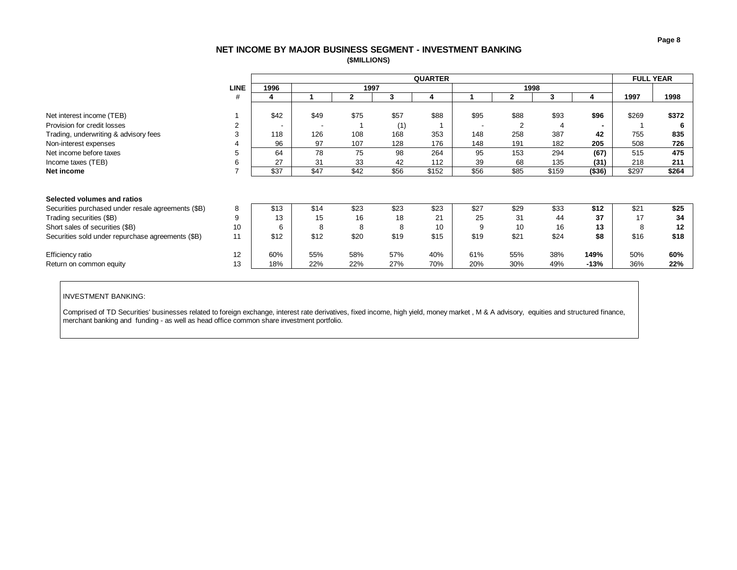# **NET INCOME BY MAJOR BUSINESS SEGMENT - INVESTMENT BANKING (\$MILLIONS)**

<span id="page-8-0"></span>

|                                                    |                |                          |                          | <b>FULL YEAR</b> |      |       |                          |                |       |                |       |       |
|----------------------------------------------------|----------------|--------------------------|--------------------------|------------------|------|-------|--------------------------|----------------|-------|----------------|-------|-------|
|                                                    | <b>LINE</b>    | 1996                     |                          | 1997             |      |       |                          | 1998           |       |                |       |       |
|                                                    | #              | 4                        |                          | 2                | 3    | 4     |                          | $\mathbf{2}$   | 3     |                | 1997  | 1998  |
|                                                    |                |                          |                          |                  |      |       |                          |                |       |                |       |       |
| Net interest income (TEB)                          |                | \$42                     | \$49                     | \$75             | \$57 | \$88  | \$95                     | \$88           | \$93  | \$96           | \$269 | \$372 |
| Provision for credit losses                        | $\overline{2}$ | $\overline{\phantom{0}}$ | $\overline{\phantom{a}}$ |                  | (1)  |       | $\overline{\phantom{a}}$ | $\overline{2}$ | 4     | $\blacksquare$ |       |       |
| Trading, underwriting & advisory fees              | 3              | 118                      | 126                      | 108              | 168  | 353   | 148                      | 258            | 387   | 42             | 755   | 835   |
| Non-interest expenses                              | 4              | 96                       | 97                       | 107              | 128  | 176   | 148                      | 191            | 182   | 205            | 508   | 726   |
| Net income before taxes                            | 5              | 64                       | 78                       | 75               | 98   | 264   | 95                       | 153            | 294   | (67)           | 515   | 475   |
| Income taxes (TEB)                                 | 6              | 27                       | 31                       | 33               | 42   | 112   | 39                       | 68             | 135   | (31)           | 218   | 211   |
| Net income                                         | $\overline{ }$ | \$37                     | \$47                     | \$42             | \$56 | \$152 | \$56                     | \$85           | \$159 | (\$36)         | \$297 | \$264 |
|                                                    |                |                          |                          |                  |      |       |                          |                |       |                |       |       |
|                                                    |                |                          |                          |                  |      |       |                          |                |       |                |       |       |
| Selected volumes and ratios                        |                |                          |                          |                  |      |       |                          |                |       |                |       |       |
| Securities purchased under resale agreements (\$B) | 8              | \$13                     | \$14                     | \$23             | \$23 | \$23  | \$27                     | \$29           | \$33  | \$12           | \$21  | \$25  |
| Trading securities (\$B)                           | 9              | 13                       | 15                       | 16               | 18   | 21    | 25                       | 31             | 44    | 37             | 17    | 34    |
| Short sales of securities (\$B)                    | 10             | 6                        | 8                        | 8                | 8    | 10    | 9                        | 10             | 16    | 13             | 8     | 12    |
| Securities sold under repurchase agreements (\$B)  | 11             | \$12                     | \$12                     | \$20             | \$19 | \$15  | \$19                     | \$21           | \$24  | \$8            | \$16  | \$18  |
|                                                    |                |                          |                          |                  |      |       |                          |                |       |                |       |       |
| Efficiency ratio                                   | 12             | 60%                      | 55%                      | 58%              | 57%  | 40%   | 61%                      | 55%            | 38%   | 149%           | 50%   | 60%   |
| Return on common equity                            | 13             | 18%                      | 22%                      | 22%              | 27%  | 70%   | 20%                      | 30%            | 49%   | $-13%$         | 36%   | 22%   |

#### INVESTMENT BANKING:

Comprised of TD Securities' businesses related to foreign exchange, interest rate derivatives, fixed income, high yield, money market , M & A advisory, equities and structured finance, merchant banking and funding - as well as head office common share investment portfolio.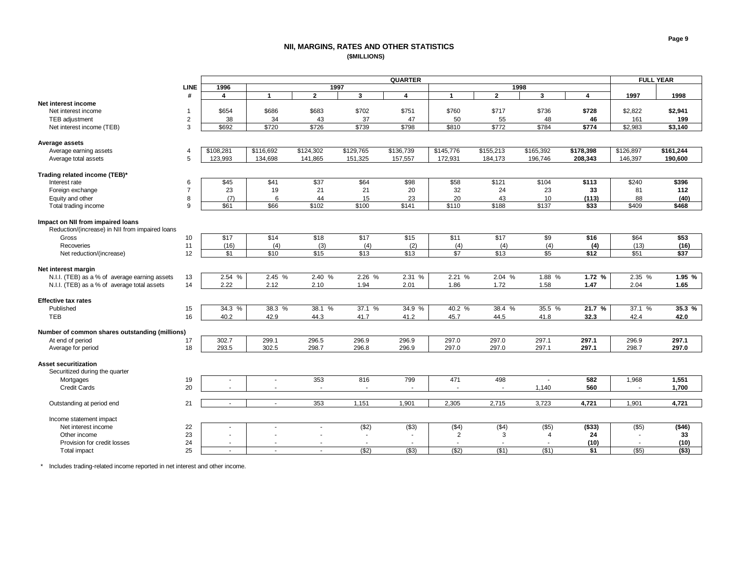#### **NII, MARGINS, RATES AND OTHER STATISTICS (\$MILLIONS)**

<span id="page-9-0"></span>

|                                                 | <b>QUARTER</b> |                  |                  |                  |                          |                          | <b>FULL YEAR</b>         |                  |                  |           |           |           |
|-------------------------------------------------|----------------|------------------|------------------|------------------|--------------------------|--------------------------|--------------------------|------------------|------------------|-----------|-----------|-----------|
|                                                 | <b>LINE</b>    | 1996             |                  | 1997             |                          |                          |                          | 1998             |                  |           |           |           |
|                                                 | #              | 4                | $\mathbf{1}$     | $\overline{2}$   | $\overline{\mathbf{3}}$  | $\overline{\mathbf{4}}$  | $\mathbf{1}$             | $\overline{2}$   | $\mathbf{3}$     | 4         | 1997      | 1998      |
| Net interest income                             |                |                  |                  |                  |                          |                          |                          |                  |                  |           |           |           |
| Net interest income                             | $\mathbf{1}$   | \$654            | \$686            | \$683            | \$702                    | \$751                    | \$760                    | \$717            | \$736            | \$728     | \$2,822   | \$2,941   |
| TEB adjustment                                  | $\sqrt{2}$     | 38               | 34               | 43               | 37                       | 47                       | 50                       | 55               | 48               | 46        | 161       | 199       |
| Net interest income (TEB)                       | 3              | \$692            | \$720            | \$726            | \$739                    | \$798                    | \$810                    | \$772            | \$784            | \$774     | \$2,983   | \$3,140   |
|                                                 |                |                  |                  |                  |                          |                          |                          |                  |                  |           |           |           |
| Average assets                                  |                |                  |                  |                  |                          |                          |                          |                  |                  |           |           |           |
| Average earning assets                          | $\overline{4}$ | \$108,281        | \$116,692        | \$124,302        | \$129,765                | \$136,739                | \$145,776                | \$155,213        | \$165,392        | \$178,398 | \$126,897 | \$161,244 |
| Average total assets                            | 5              | 123,993          | 134,698          | 141,865          | 151,325                  | 157,557                  | 172,931                  | 184,173          | 196,746          | 208,343   | 146,397   | 190,600   |
|                                                 |                |                  |                  |                  |                          |                          |                          |                  |                  |           |           |           |
| Trading related income (TEB)*                   |                |                  |                  |                  |                          |                          |                          |                  |                  |           |           |           |
| Interest rate                                   | 6              | \$45             | $\overline{$41}$ | \$37             | \$64                     | \$98                     | \$58                     | \$121            | \$104            | \$113     | \$240     | \$396     |
| Foreign exchange                                | $\overline{7}$ | 23               | 19               | 21               | 21                       | 20                       | 32                       | 24               | 23               | 33        | 81        | 112       |
| Equity and other                                | 8              | (7)              | 6                | 44               | 15                       | 23                       | 20                       | 43               | 10               | (113)     | 88        | (40)      |
| Total trading income                            | 9              | \$61             | \$66             | \$102            | \$100                    | \$141                    | \$110                    | \$188            | \$137            | \$33      | \$409     | \$468     |
|                                                 |                |                  |                  |                  |                          |                          |                          |                  |                  |           |           |           |
| Impact on NII from impaired loans               |                |                  |                  |                  |                          |                          |                          |                  |                  |           |           |           |
| Reduction/(increase) in NII from impaired loans |                |                  |                  |                  |                          |                          |                          |                  |                  |           |           |           |
| Gross                                           | 10             | $\overline{$17}$ | $\sqrt{$14}$     | $\overline{$18}$ | $\overline{$17}$         | $\overline{$15}$         | \$11                     | $\overline{$17}$ | $\overline{\$9}$ | \$16      | \$64      | \$53      |
| Recoveries                                      | 11             | (16)             | (4)              | (3)              | (4)                      | (2)                      | (4)                      | (4)              | (4)              | (4)       | (13)      | (16)      |
| Net reduction/(increase)                        | 12             | \$1              | \$10             | \$15             | \$13                     | \$13                     | \$7                      | \$13             | \$5              | \$12      | \$51      | \$37      |
|                                                 |                |                  |                  |                  |                          |                          |                          |                  |                  |           |           |           |
| Net interest margin                             |                |                  |                  |                  |                          |                          |                          |                  |                  |           |           |           |
| N.I.I. (TEB) as a % of average earning assets   | 13             | 2.54%            | 2.45%            | 2.40%            | 2.26%                    | 2.31%                    | 2.21%                    | 2.04%            | 1.88%            | 1.72%     | 2.35 %    | 1.95%     |
| N.I.I. (TEB) as a % of average total assets     | 14             | 2.22             | 2.12             | 2.10             | 1.94                     | 2.01                     | 1.86                     | 1.72             | 1.58             | 1.47      | 2.04      | 1.65      |
|                                                 |                |                  |                  |                  |                          |                          |                          |                  |                  |           |           |           |
| <b>Effective tax rates</b>                      |                |                  |                  |                  |                          |                          |                          |                  |                  |           |           |           |
| Published                                       | 15             | 34.3 %           | 38.3 %           | 38.1 %           | 37.1 %                   | 34.9 %                   | 40.2 %                   | 38.4 %           | 35.5 %           | 21.7%     | 37.1 %    | 35.3%     |
| <b>TEB</b>                                      | 16             | 40.2             | 42.9             | 44.3             | 41.7                     | 41.2                     | 45.7                     | 44.5             | 41.8             | 32.3      | 42.4      | 42.0      |
|                                                 |                |                  |                  |                  |                          |                          |                          |                  |                  |           |           |           |
| Number of common shares outstanding (millions)  |                |                  |                  |                  |                          |                          |                          |                  |                  |           |           |           |
| At end of period                                | 17             | 302.7            | 299.1            | 296.5            | 296.9                    | 296.9                    | 297.0                    | 297.0            | 297.1            | 297.1     | 296.9     | 297.1     |
| Average for period                              | 18             | 293.5            | 302.5            | 298.7            | 296.8                    | 296.9                    | 297.0                    | 297.0            | 297.1            | 297.1     | 298.7     | 297.0     |
|                                                 |                |                  |                  |                  |                          |                          |                          |                  |                  |           |           |           |
| <b>Asset securitization</b>                     |                |                  |                  |                  |                          |                          |                          |                  |                  |           |           |           |
| Securitized during the quarter                  |                |                  |                  |                  |                          |                          |                          |                  |                  |           |           |           |
| Mortgages                                       | 19             |                  |                  | 353              | 816                      | 799                      | 471                      | 498              | $\blacksquare$   | 582       | 1,968     | 1,551     |
| <b>Credit Cards</b>                             | 20             |                  |                  |                  |                          | $\overline{\phantom{a}}$ | ÷,                       |                  | 1,140            | 560       |           | 1,700     |
|                                                 |                |                  |                  |                  |                          |                          |                          |                  |                  |           |           |           |
| Outstanding at period end                       | 21             | $\sim$           | $\sim$           | 353              | 1,151                    | 1,901                    | 2,305                    | 2,715            | 3,723            | 4,721     | 1,901     | 4,721     |
|                                                 |                |                  |                  |                  |                          |                          |                          |                  |                  |           |           |           |
| Income statement impact                         |                |                  |                  |                  |                          |                          |                          |                  |                  |           |           |           |
| Net interest income                             | 22             |                  |                  | $\sim$           | (\$2)                    | (\$3)                    | (\$4)                    | ( \$4)           | $($ \$5)         | (\$33)    | (\$5)     | (\$46)    |
| Other income                                    | 23             |                  |                  |                  |                          | ٠                        | $\overline{2}$           | 3                | 4                | 24        |           | 33        |
| Provision for credit losses                     | 24             | $\sim$           |                  |                  | $\overline{\phantom{a}}$ | ۰                        | $\overline{\phantom{a}}$ | $\sim$           |                  | (10)      |           | (10)      |
| Total impact                                    | 25             | $\sim$           |                  | $\sim$           | (32)                     | $($ \$3)                 | (\$2)                    | (\$1)            | (\$1)            | \$1       | $($ \$5)  | ( \$3)    |

\* Includes trading-related income reported in net interest and other income.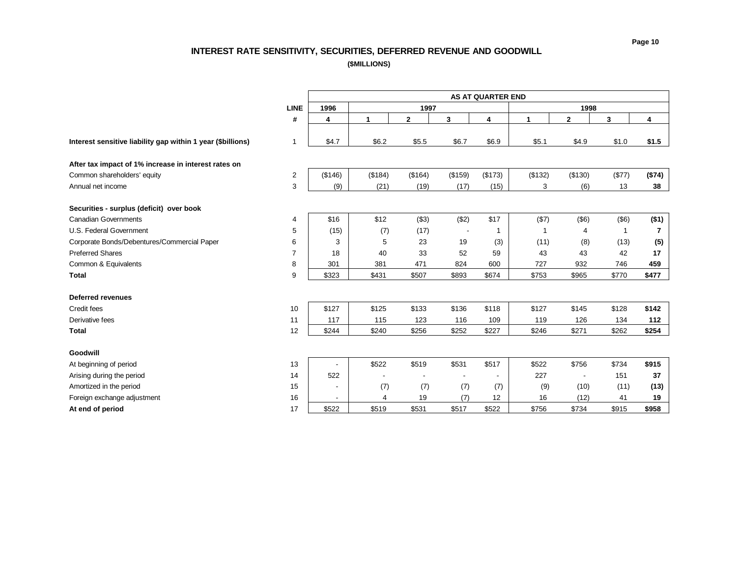# **INTEREST RATE SENSITIVITY, SECURITIES, DEFERRED REVENUE AND GOODWILL**

**(\$MILLIONS)**

<span id="page-10-0"></span>

|                                                             |                | <b>AS AT QUARTER END</b> |         |              |         |         |              |                          |                |                |  |  |
|-------------------------------------------------------------|----------------|--------------------------|---------|--------------|---------|---------|--------------|--------------------------|----------------|----------------|--|--|
|                                                             | <b>LINE</b>    | 1996                     |         | 1997         |         |         |              | 1998                     |                |                |  |  |
|                                                             | #              | 4                        | 1       | $\mathbf{2}$ | 3       | 4       | $\mathbf{1}$ | $\mathbf{2}$             | 3              | 4              |  |  |
| Interest sensitive liability gap within 1 year (\$billions) | $\mathbf{1}$   | \$4.7                    | \$6.2   | \$5.5        | \$6.7   | \$6.9   | \$5.1        | \$4.9                    | \$1.0          | \$1.5          |  |  |
| After tax impact of 1% increase in interest rates on        |                |                          |         |              |         |         |              |                          |                |                |  |  |
| Common shareholders' equity                                 | $\sqrt{2}$     | (\$146)                  | (\$184) | (\$164)      | (\$159) | (\$173) | (\$132)      | (\$130)                  | (\$77)         | (\$74)         |  |  |
| Annual net income                                           | 3              | (9)                      | (21)    | (19)         | (17)    | (15)    | 3            | (6)                      | 13             | 38             |  |  |
| Securities - surplus (deficit) over book                    |                |                          |         |              |         |         |              |                          |                |                |  |  |
| <b>Canadian Governments</b>                                 | 4              | \$16                     | \$12    | ( \$3)       | (\$2)   | \$17    | (\$7)        | $($ \$6)                 | $($ \$6)       | (\$1)          |  |  |
| U.S. Federal Government                                     | 5              | (15)                     | (7)     | (17)         |         |         | -1           | 4                        | $\overline{1}$ | $\overline{7}$ |  |  |
| Corporate Bonds/Debentures/Commercial Paper                 | 6              | 3                        | 5       | 23           | 19      | (3)     | (11)         | (8)                      | (13)           | (5)            |  |  |
| <b>Preferred Shares</b>                                     | $\overline{7}$ | 18                       | 40      | 33           | 52      | 59      | 43           | 43                       | 42             | 17             |  |  |
| Common & Equivalents                                        | 8              | 301                      | 381     | 471          | 824     | 600     | 727          | 932                      | 746            | 459            |  |  |
| <b>Total</b>                                                | 9              | \$323                    | \$431   | \$507        | \$893   | \$674   | \$753        | \$965                    | \$770          | \$477          |  |  |
| <b>Deferred revenues</b>                                    |                |                          |         |              |         |         |              |                          |                |                |  |  |
| Credit fees                                                 | 10             | \$127                    | \$125   | \$133        | \$136   | \$118   | \$127        | \$145                    | \$128          | \$142          |  |  |
| Derivative fees                                             | 11             | 117                      | 115     | 123          | 116     | 109     | 119          | 126                      | 134            | 112            |  |  |
| <b>Total</b>                                                | 12             | \$244                    | \$240   | \$256        | \$252   | \$227   | \$246        | \$271                    | \$262          | \$254          |  |  |
| Goodwill                                                    |                |                          |         |              |         |         |              |                          |                |                |  |  |
| At beginning of period                                      | 13             | $\overline{a}$           | \$522   | \$519        | \$531   | \$517   | \$522        | \$756                    | \$734          | \$915          |  |  |
| Arising during the period                                   | 14             | 522                      |         |              |         |         | 227          | $\overline{\phantom{a}}$ | 151            | 37             |  |  |
| Amortized in the period                                     | 15             |                          | (7)     | (7)          | (7)     | (7)     | (9)          | (10)                     | (11)           | (13)           |  |  |
| Foreign exchange adjustment                                 | 16             |                          | 4       | 19           | (7)     | 12      | 16           | (12)                     | 41             | 19             |  |  |
| At end of period                                            | 17             | \$522                    | \$519   | \$531        | \$517   | \$522   | \$756        | \$734                    | \$915          | \$958          |  |  |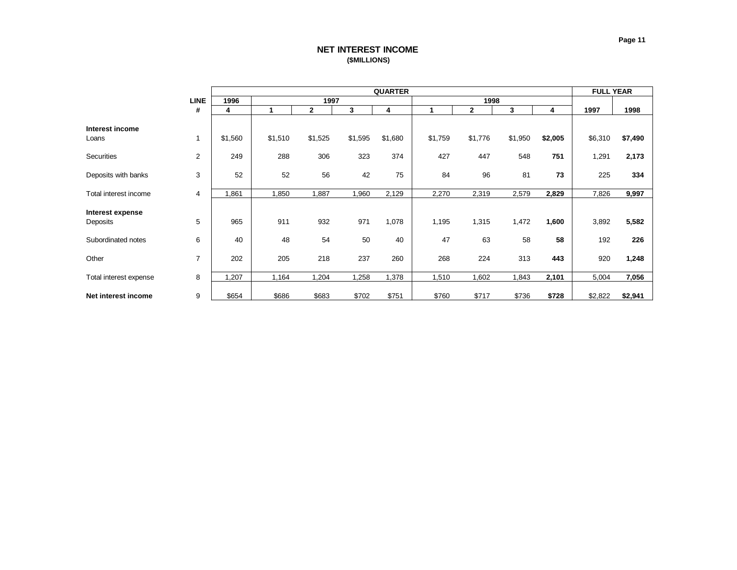# **NET INTEREST INCOME (\$MILLIONS)**

<span id="page-11-0"></span>

|                              |                |         |         | <b>FULL YEAR</b> |         |         |         |              |         |         |         |         |
|------------------------------|----------------|---------|---------|------------------|---------|---------|---------|--------------|---------|---------|---------|---------|
|                              | <b>LINE</b>    | 1996    |         | 1997             |         |         |         | 1998         |         |         |         |         |
|                              | #              | 4       | 1       | $\mathbf{2}$     | 3       | 4       | 1       | $\mathbf{2}$ | 3       | 4       | 1997    | 1998    |
| Interest income              |                |         |         |                  |         |         | \$1,759 |              |         |         |         |         |
| Loans                        |                | \$1,560 | \$1,510 | \$1,525          | \$1,595 | \$1,680 |         | \$1,776      | \$1,950 | \$2,005 | \$6,310 | \$7,490 |
| Securities                   | $\overline{2}$ | 249     | 288     | 306              | 323     | 374     | 427     | 447          | 548     | 751     | 1,291   | 2,173   |
| Deposits with banks          | 3              | 52      | 52      | 56               | 42      | 75      | 84      | 96           | 81      | 73      | 225     | 334     |
| Total interest income        | 4              | 1,861   | 1,850   | 1,887            | 1,960   | 2,129   | 2,270   | 2,319        | 2,579   | 2,829   | 7,826   | 9,997   |
| Interest expense<br>Deposits | 5              | 965     | 911     | 932              | 971     | 1,078   | 1,195   | 1,315        | 1,472   | 1,600   | 3,892   | 5,582   |
|                              |                |         |         |                  |         |         |         |              |         |         |         |         |
| Subordinated notes           | 6              | 40      | 48      | 54               | 50      | 40      | 47      | 63           | 58      | 58      | 192     | 226     |
| Other                        | 7              | 202     | 205     | 218              | 237     | 260     | 268     | 224          | 313     | 443     | 920     | 1,248   |
| Total interest expense       | 8              | 1,207   | 1,164   | 1,204            | 1,258   | 1,378   | 1,510   | 1,602        | 1,843   | 2,101   | 5,004   | 7,056   |
| Net interest income          | 9              | \$654   | \$686   | \$683            | \$702   | \$751   | \$760   | \$717        | \$736   | \$728   | \$2,822 | \$2,941 |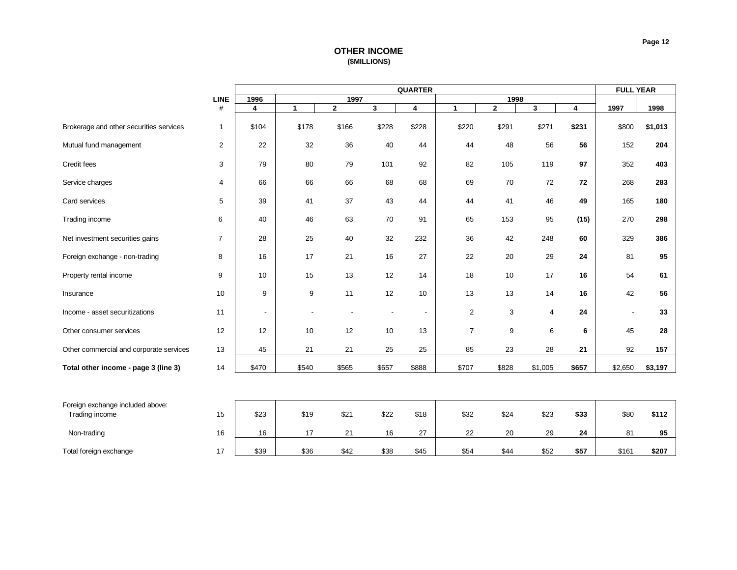# **OTHER INCOME (\$MILLIONS)**

<span id="page-12-0"></span>

|                                                    |                |                |                  |              |                | <b>QUARTER</b> |                |                |                |       | <b>FULL YEAR</b> |         |  |
|----------------------------------------------------|----------------|----------------|------------------|--------------|----------------|----------------|----------------|----------------|----------------|-------|------------------|---------|--|
|                                                    | LINE           | 1996           |                  | 1997         |                |                |                | 1998           |                |       |                  |         |  |
|                                                    | #              | 4              | $\mathbf{1}$     | $\mathbf{2}$ | 3              | 4              | $\mathbf{1}$   | $\overline{2}$ | 3              | 4     | 1997             | 1998    |  |
| Brokerage and other securities services            | $\mathbf{1}$   | \$104          | \$178            | \$166        | \$228          | \$228          | \$220          | \$291          | \$271          | \$231 | \$800            | \$1,013 |  |
| Mutual fund management                             | $\overline{2}$ | 22             | 32               | 36           | 40             | 44             | 44             | 48             | 56             | 56    | 152              | 204     |  |
| Credit fees                                        | 3              | 79             | 80               | 79           | 101            | 92             | 82             | 105            | 119            | 97    | 352              | 403     |  |
| Service charges                                    | $\overline{4}$ | 66             | 66               | 66           | 68             | 68             | 69             | 70             | 72             | 72    | 268              | 283     |  |
| Card services                                      | 5              | 39             | 41               | 37           | 43             | 44             | 44             | 41             | 46             | 49    | 165              | 180     |  |
| Trading income                                     | 6              | 40             | 46               | 63           | 70             | 91             | 65             | 153            | 95             | (15)  | 270              | 298     |  |
| Net investment securities gains                    | $\overline{7}$ | 28             | 25               | 40           | 32             | 232            | 36             | 42             | 248            | 60    | 329              | 386     |  |
| Foreign exchange - non-trading                     | 8              | 16             | 17               | 21           | 16             | 27             | 22             | 20             | 29             | 24    | 81               | 95      |  |
| Property rental income                             | 9              | 10             | 15               | 13           | 12             | 14             | 18             | 10             | 17             | 16    | 54               | 61      |  |
| Insurance                                          | 10             | 9              | $\boldsymbol{9}$ | 11           | 12             | 10             | 13             | 13             | 14             | 16    | 42               | 56      |  |
| Income - asset securitizations                     | 11             | $\overline{a}$ |                  |              | $\blacksquare$ | $\blacksquare$ | 2              | 3              | $\overline{4}$ | 24    |                  | 33      |  |
| Other consumer services                            | 12             | 12             | 10               | 12           | 10             | 13             | $\overline{7}$ | 9              | 6              | 6     | 45               | 28      |  |
| Other commercial and corporate services            | 13             | 45             | 21               | 21           | 25             | 25             | 85             | 23             | 28             | 21    | 92               | 157     |  |
| Total other income - page 3 (line 3)               | 14             | \$470          | \$540            | \$565        | \$657          | \$888          | \$707          | \$828          | \$1,005        | \$657 | \$2,650          | \$3,197 |  |
|                                                    |                |                |                  |              |                |                |                |                |                |       |                  |         |  |
| Foreign exchange included above:<br>Trading income | 15             | \$23           | \$19             | \$21         | \$22           | \$18           | \$32           | \$24           | \$23           | \$33  | \$80             | \$112   |  |
| Non-trading                                        | 16             | 16             | 17               | 21           | 16             | 27             | 22             | 20             | 29             | 24    | 81               | 95      |  |
| Total foreign exchange                             | 17             | \$39           | \$36             | \$42         | \$38           | \$45           | \$54           | \$44           | \$52           | \$57  | \$161            | \$207   |  |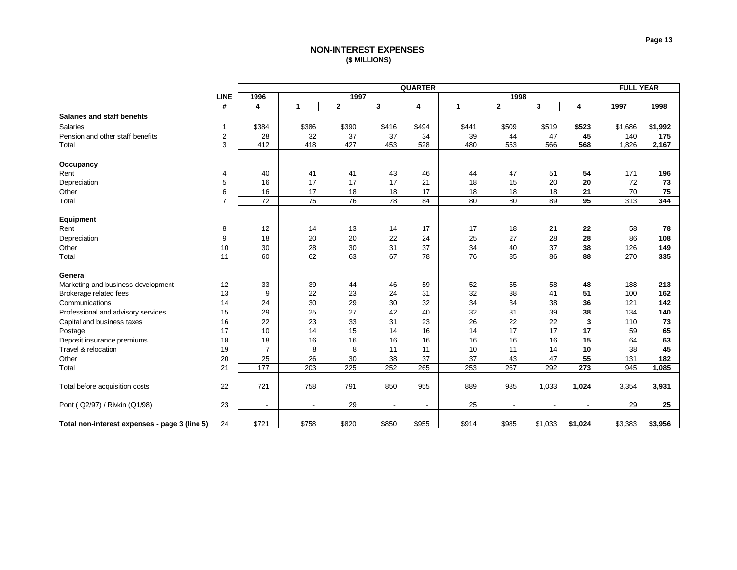# **NON-INTEREST EXPENSES (\$ MILLIONS)**

<span id="page-13-0"></span>

|                                               |                |                          | <b>QUARTER</b>           |              |        |                          |                 |              |         |         |         |         |
|-----------------------------------------------|----------------|--------------------------|--------------------------|--------------|--------|--------------------------|-----------------|--------------|---------|---------|---------|---------|
|                                               | <b>LINE</b>    | 1996                     |                          | 1997         |        |                          |                 | 1998         |         |         |         |         |
|                                               | #              | 4                        | $\mathbf{1}$             | $\mathbf{2}$ | 3      | 4                        | 1               | $\mathbf{2}$ | 3       | 4       | 1997    | 1998    |
| <b>Salaries and staff benefits</b>            |                |                          |                          |              |        |                          |                 |              |         |         |         |         |
| <b>Salaries</b>                               | 1              | \$384                    | \$386                    | \$390        | \$416  | \$494                    | \$441           | \$509        | \$519   | \$523   | \$1,686 | \$1,992 |
| Pension and other staff benefits              | $\overline{2}$ | 28                       | 32                       | 37           | 37     | 34                       | 39              | 44           | 47      | 45      | 140     | 175     |
| Total                                         | 3              | 412                      | 418                      | 427          | 453    | 528                      | 480             | 553          | 566     | 568     | 1,826   | 2,167   |
|                                               |                |                          |                          |              |        |                          |                 |              |         |         |         |         |
| Occupancy                                     |                |                          |                          |              |        |                          |                 |              |         |         |         |         |
| Rent                                          | 4              | 40                       | 41                       | 41           | 43     | 46                       | 44              | 47           | 51      | 54      | 171     | 196     |
| Depreciation                                  | 5              | 16                       | 17                       | 17           | 17     | 21                       | 18              | 15           | 20      | 20      | 72      | 73      |
| Other                                         | 6              | 16                       | 17                       | 18           | 18     | 17                       | 18              | 18           | 18      | 21      | 70      | 75      |
| Total                                         | $\overline{7}$ | 72                       | 75                       | 76           | 78     | 84                       | 80              | 80           | 89      | 95      | 313     | 344     |
|                                               |                |                          |                          |              |        |                          |                 |              |         |         |         |         |
| Equipment                                     |                |                          |                          |              |        |                          |                 |              |         |         |         |         |
| Rent                                          | 8              | 12                       | 14                       | 13           | 14     | 17                       | 17              | 18           | 21      | 22      | 58      | 78      |
| Depreciation                                  | 9              | 18                       | 20                       | 20           | 22     | 24                       | 25              | 27           | 28      | 28      | 86      | 108     |
| Other                                         | 10             | 30                       | 28                       | 30           | 31     | 37                       | 34              | 40           | 37      | 38      | 126     | 149     |
| Total                                         | 11             | 60                       | 62                       | 63           | 67     | 78                       | $\overline{76}$ | 85           | 86      | 88      | 270     | 335     |
|                                               |                |                          |                          |              |        |                          |                 |              |         |         |         |         |
| General                                       |                |                          |                          |              |        |                          |                 |              |         |         |         |         |
| Marketing and business development            | 12             | 33                       | 39                       | 44           | 46     | 59                       | 52              | 55           | 58      | 48      | 188     | 213     |
| Brokerage related fees                        | 13             | 9                        | 22                       | 23           | 24     | 31                       | 32              | 38           | 41      | 51      | 100     | 162     |
| Communications                                | 14             | 24                       | 30                       | 29           | 30     | 32                       | 34              | 34           | 38      | 36      | 121     | 142     |
| Professional and advisory services            | 15             | 29                       | 25                       | 27           | 42     | 40                       | 32              | 31           | 39      | 38      | 134     | 140     |
| Capital and business taxes                    | 16             | 22                       | 23                       | 33           | 31     | 23                       | 26              | 22           | 22      | 3       | 110     | 73      |
| Postage                                       | 17             | 10                       | 14                       | 15           | 14     | 16                       | 14              | 17           | 17      | 17      | 59      | 65      |
| Deposit insurance premiums                    | 18             | 18                       | 16                       | 16           | 16     | 16                       | 16              | 16           | 16      | 15      | 64      | 63      |
| Travel & relocation                           | 19             | $\overline{7}$           | 8                        | 8            | 11     | 11                       | 10              | 11           | 14      | 10      | 38      | 45      |
| Other                                         | 20             | 25                       | 26                       | 30           | 38     | 37                       | 37              | 43           | 47      | 55      | 131     | 182     |
| Total                                         | 21             | 177                      | 203                      | 225          | 252    | 265                      | 253             | 267          | 292     | 273     | 945     | 1,085   |
|                                               |                |                          |                          |              |        |                          |                 |              |         |         |         |         |
| Total before acquisition costs                | 22             | 721                      | 758                      | 791          | 850    | 955                      | 889             | 985          | 1,033   | 1,024   | 3,354   | 3,931   |
|                                               |                |                          |                          |              |        |                          |                 |              |         |         |         |         |
| Pont (Q2/97) / Rivkin (Q1/98)                 | 23             | $\overline{\phantom{a}}$ | $\overline{\phantom{a}}$ | 29           | $\sim$ | $\overline{\phantom{a}}$ | 25              |              |         |         | 29      | 25      |
| Total non-interest expenses - page 3 (line 5) | 24             | \$721                    | \$758                    | \$820        | \$850  | \$955                    | \$914           | \$985        | \$1,033 | \$1,024 | \$3,383 | \$3,956 |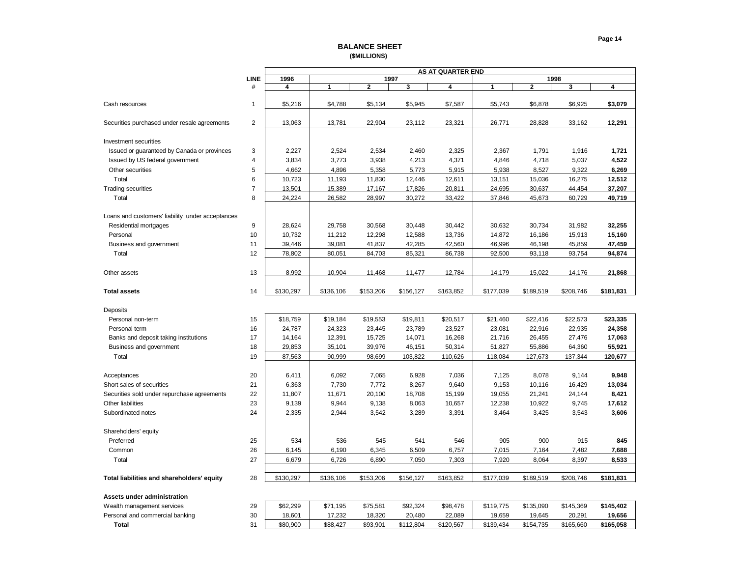#### **BALANCE SHEET (\$MILLIONS)**

<span id="page-14-0"></span>

|                                                  |                |           |           |           |           | <b>AS AT QUARTER END</b> |           |                |           |           |
|--------------------------------------------------|----------------|-----------|-----------|-----------|-----------|--------------------------|-----------|----------------|-----------|-----------|
|                                                  | <b>LINE</b>    | 1996      |           | 1997      |           |                          |           | 1998           |           |           |
|                                                  | #              | 4         | 1         | 2         | 3         | 4                        | 1         | $\overline{2}$ | 3         | 4         |
|                                                  |                |           |           |           |           |                          |           |                |           |           |
| Cash resources                                   | 1              | \$5,216   | \$4,788   | \$5,134   | \$5,945   | \$7,587                  | \$5,743   | \$6,878        | \$6,925   | \$3,079   |
|                                                  |                |           |           |           |           |                          |           |                |           |           |
| Securities purchased under resale agreements     | $\overline{2}$ | 13,063    | 13,781    | 22,904    | 23,112    | 23,321                   | 26,771    | 28,828         | 33,162    | 12,291    |
|                                                  |                |           |           |           |           |                          |           |                |           |           |
| <b>Investment securities</b>                     |                |           |           |           |           |                          |           |                |           |           |
| Issued or guaranteed by Canada or provinces      | 3              | 2,227     | 2,524     | 2,534     | 2,460     | 2,325                    | 2,367     | 1,791          | 1,916     | 1,721     |
| Issued by US federal government                  | $\overline{4}$ | 3,834     | 3,773     | 3,938     | 4,213     | 4,371                    | 4,846     | 4,718          | 5,037     | 4,522     |
| Other securities                                 | 5              | 4,662     | 4,896     | 5,358     | 5,773     | 5,915                    | 5,938     | 8,527          | 9,322     | 6,269     |
| Total                                            | 6              | 10,723    | 11,193    | 11,830    | 12,446    | 12,611                   | 13,151    | 15,036         | 16,275    | 12,512    |
| <b>Trading securities</b>                        | $\overline{7}$ | 13,501    | 15,389    | 17,167    | 17,826    | 20,811                   | 24,695    | 30,637         | 44,454    | 37,207    |
| Total                                            | 8              | 24,224    | 26,582    | 28,997    | 30,272    | 33,422                   | 37,846    | 45,673         | 60,729    | 49,719    |
|                                                  |                |           |           |           |           |                          |           |                |           |           |
| Loans and customers' liability under acceptances |                |           |           |           |           |                          |           |                |           |           |
| Residential mortgages                            | 9              | 28,624    | 29,758    | 30,568    | 30,448    | 30,442                   | 30,632    | 30,734         | 31,982    | 32,255    |
| Personal                                         | 10             | 10,732    | 11,212    | 12,298    | 12,588    | 13,736                   | 14,872    | 16,186         | 15,913    | 15,160    |
| Business and government                          | 11             | 39,446    | 39,081    | 41,837    | 42,285    | 42,560                   | 46,996    | 46,198         | 45,859    | 47,459    |
| Total                                            | 12             | 78,802    | 80,051    | 84,703    | 85,321    | 86,738                   | 92,500    | 93,118         | 93,754    | 94,874    |
|                                                  |                |           |           |           |           |                          |           |                |           |           |
| Other assets                                     | 13             | 8,992     | 10,904    | 11,468    | 11,477    | 12,784                   | 14,179    | 15,022         | 14,176    | 21,868    |
|                                                  |                |           |           |           |           |                          |           |                |           |           |
| <b>Total assets</b>                              | 14             | \$130,297 | \$136,106 | \$153,206 | \$156,127 | \$163,852                | \$177,039 | \$189,519      | \$208,746 | \$181,831 |
|                                                  |                |           |           |           |           |                          |           |                |           |           |
| Deposits                                         |                |           |           |           |           |                          |           |                |           |           |
| Personal non-term                                | 15             | \$18,759  | \$19,184  | \$19,553  | \$19,811  | \$20,517                 | \$21,460  | \$22,416       | \$22,573  | \$23,335  |
| Personal term                                    | 16             | 24,787    | 24,323    | 23,445    | 23,789    | 23,527                   | 23,081    | 22,916         | 22,935    | 24,358    |
| Banks and deposit taking institutions            | 17             | 14,164    | 12,391    | 15,725    | 14,071    | 16,268                   | 21,716    | 26,455         | 27,476    | 17,063    |
| Business and government                          | 18             | 29,853    | 35,101    | 39,976    | 46,151    | 50,314                   | 51,827    | 55,886         | 64,360    | 55,921    |
| Total                                            | 19             | 87,563    | 90,999    | 98,699    | 103,822   | 110,626                  | 118,084   | 127,673        | 137,344   | 120,677   |
|                                                  |                |           |           |           |           |                          |           |                |           |           |
| Acceptances                                      | 20             | 6,411     | 6,092     | 7,065     | 6,928     | 7,036                    | 7,125     | 8,078          | 9,144     | 9,948     |
| Short sales of securities                        | 21             | 6,363     | 7,730     | 7,772     | 8,267     | 9,640                    | 9,153     | 10,116         | 16,429    | 13,034    |
| Securities sold under repurchase agreements      | 22             | 11,807    | 11,671    | 20,100    | 18,708    | 15,199                   | 19,055    | 21,241         | 24,144    | 8,421     |
| Other liabilities                                | 23             | 9,139     | 9,944     | 9,138     | 8,063     | 10,657                   | 12,238    | 10,922         | 9,745     | 17,612    |
| Subordinated notes                               | 24             | 2,335     | 2,944     | 3,542     | 3,289     | 3,391                    | 3,464     | 3,425          | 3,543     | 3,606     |
|                                                  |                |           |           |           |           |                          |           |                |           |           |
| Shareholders' equity                             |                |           |           |           |           |                          |           |                |           |           |
| Preferred                                        | 25             | 534       | 536       | 545       | 541       | 546                      | 905       | 900            | 915       | 845       |
| Common                                           | 26             | 6,145     | 6,190     | 6,345     | 6,509     | 6,757                    | 7,015     | 7,164          | 7,482     | 7,688     |
| Total                                            | 27             | 6,679     | 6,726     | 6,890     | 7,050     | 7,303                    | 7,920     | 8,064          | 8,397     | 8,533     |
|                                                  |                |           |           |           |           |                          |           |                |           |           |
| Total liabilities and shareholders' equity       | 28             | \$130,297 | \$136,106 | \$153,206 | \$156,127 | \$163,852                | \$177,039 | \$189,519      | \$208,746 | \$181,831 |
|                                                  |                |           |           |           |           |                          |           |                |           |           |
| Assets under administration                      |                |           |           |           |           |                          |           |                |           |           |
| Wealth management services                       | 29             | \$62,299  | \$71,195  | \$75,581  | \$92,324  | \$98,478                 | \$119,775 | \$135,090      | \$145,369 | \$145,402 |
| Personal and commercial banking                  | 30             | 18,601    | 17,232    | 18,320    | 20,480    | 22,089                   | 19,659    | 19,645         | 20,291    | 19,656    |
| <b>Total</b>                                     | 31             | \$80,900  | \$88,427  | \$93,901  | \$112,804 | \$120,567                | \$139,434 | \$154,735      | \$165,660 | \$165,058 |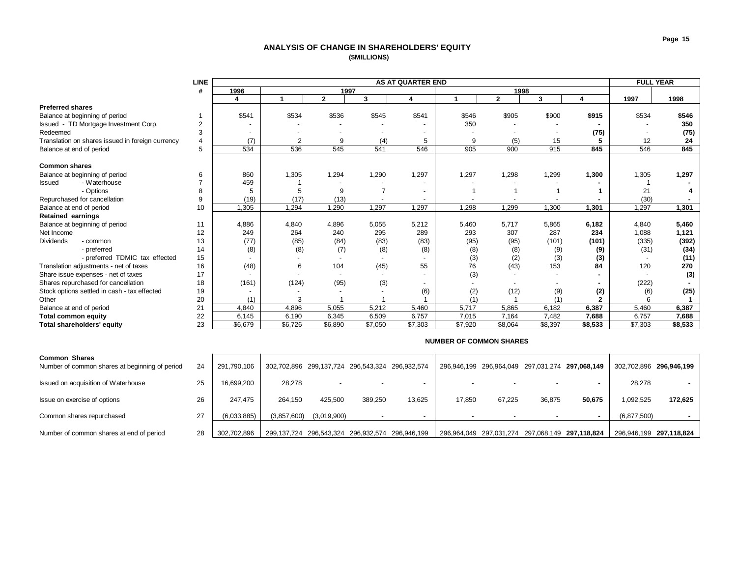## **ANALYSIS OF CHANGE IN SHAREHOLDERS' EQUITY (\$MILLIONS)**

<span id="page-15-0"></span>

|                                                  | <b>LINE</b>    |         |         |                          |         | <b>AS AT QUARTER END</b> |         |              |         |         |         | <b>FULL YEAR</b> |  |
|--------------------------------------------------|----------------|---------|---------|--------------------------|---------|--------------------------|---------|--------------|---------|---------|---------|------------------|--|
|                                                  | #              | 1996    |         | 1997                     |         |                          |         | 1998         |         |         |         |                  |  |
|                                                  |                | 4       |         | $\mathbf{2}$             | 3       | 4                        |         | $\mathbf{2}$ | 3       | 4       | 1997    | 1998             |  |
| <b>Preferred shares</b>                          |                |         |         |                          |         |                          |         |              |         |         |         |                  |  |
| Balance at beginning of period                   |                | \$541   | \$534   | \$536                    | \$545   | \$541                    | \$546   | \$905        | \$900   | \$915   | \$534   | \$546            |  |
| Issued - TD Mortgage Investment Corp.            | $\overline{2}$ |         |         |                          |         |                          | 350     |              |         |         |         | 350              |  |
| Redeemed                                         |                |         |         |                          |         |                          |         |              |         | (75)    |         | (75)             |  |
| Translation on shares issued in foreign currency | 4              | (7)     | 2       | 9                        | (4)     | 5                        | 9       | (5)          | 15      |         | 12      | 24               |  |
| Balance at end of period                         | 5              | 534     | 536     | 545                      | 541     | 546                      | 905     | 900          | 915     | 845     | 546     | 845              |  |
|                                                  |                |         |         |                          |         |                          |         |              |         |         |         |                  |  |
| <b>Common shares</b>                             |                |         |         |                          |         |                          |         |              |         |         |         |                  |  |
| Balance at beginning of period                   | 6              | 860     | 1,305   | 1,294                    | 1,290   | 1,297                    | 1,297   | 1,298        | 1,299   | 1,300   | 1,305   | 1,297            |  |
| - Waterhouse<br><b>Issued</b>                    |                | 459     |         |                          |         |                          |         |              |         |         |         |                  |  |
| - Options                                        | 8              | 5       | 5       | 9                        |         |                          |         |              |         |         | 21      |                  |  |
| Repurchased for cancellation                     | 9              | (19)    | (17)    | (13)                     |         |                          |         |              |         |         | (30)    |                  |  |
| Balance at end of period                         | 10             | 1,305   | 1,294   | 1,290                    | 1,297   | 1,297                    | 1,298   | 1,299        | 1,300   | 1,301   | 1,297   | 1,301            |  |
| <b>Retained earnings</b>                         |                |         |         |                          |         |                          |         |              |         |         |         |                  |  |
| Balance at beginning of period                   | 11             | 4,886   | 4,840   | 4,896                    | 5,055   | 5,212                    | 5,460   | 5,717        | 5,865   | 6,182   | 4,840   | 5,460            |  |
| Net Income                                       | 12             | 249     | 264     | 240                      | 295     | 289                      | 293     | 307          | 287     | 234     | 1,088   | 1,121            |  |
| <b>Dividends</b><br>- common                     | 13             | (77)    | (85)    | (84)                     | (83)    | (83)                     | (95)    | (95)         | (101)   | (101)   | (335)   | (392)            |  |
| - preferred                                      | 14             | (8)     | (8)     | (7)                      | (8)     | (8)                      | (8)     | (8)          | (9)     | (9)     | (31)    | (34)             |  |
| - preferred TDMIC tax effected                   | 15             |         |         |                          |         |                          | (3)     | (2)          | (3)     | (3)     |         | (11)             |  |
| Translation adjustments - net of taxes           | 16             | (48)    | 6       | 104                      | (45)    | 55                       | 76      | (43)         | 153     | 84      | 120     | 270              |  |
| Share issue expenses - net of taxes              | 17             |         |         | $\overline{\phantom{a}}$ |         |                          | (3)     |              |         |         |         | (3)              |  |
| Shares repurchased for cancellation              | 18             | (161)   | (124)   | (95)                     | (3)     |                          |         |              |         |         | (222)   |                  |  |
| Stock options settled in cash - tax effected     | 19             |         |         |                          |         | (6)                      | (2)     | (12)         | (9)     | (2)     | (6)     | (25)             |  |
| Other                                            | 20             | (1)     |         |                          |         |                          |         |              | (1)     |         |         |                  |  |
| Balance at end of period                         | 21             | 4.840   | 4,896   | 5,055                    | 5,212   | 5.460                    | 5,717   | 5,865        | 6.182   | 6,387   | 5,460   | 6.387            |  |
| <b>Total common equity</b>                       | 22             | 6,145   | 6,190   | 6,345                    | 6,509   | 6,757                    | 7,015   | 7,164        | 7,482   | 7,688   | 6,757   | 7,688            |  |
| Total shareholders' equity                       | 23             | \$6,679 | \$6,726 | \$6,890                  | \$7,050 | \$7,303                  | \$7,920 | \$8.064      | \$8.397 | \$8,533 | \$7,303 | \$8,533          |  |

| <b>Common Shares</b><br>Number of common shares at beginning of period | 24 | 291.790.106 | 302,702,896 299,137,724 296,543,324 296,932,574 |             |         |        | 296,946,199 296,964,049 297,031,274 297,068,149 |        |        |        | 302,702,896 296,946,199 |         |
|------------------------------------------------------------------------|----|-------------|-------------------------------------------------|-------------|---------|--------|-------------------------------------------------|--------|--------|--------|-------------------------|---------|
| Issued on acquisition of Waterhouse                                    | 25 | 16,699,200  | 28,278                                          |             |         |        |                                                 |        |        |        | 28,278                  |         |
| Issue on exercise of options                                           | 26 | 247.475     | 264.150                                         | 425.500     | 389.250 | 13.625 | 17.850                                          | 67.225 | 36.875 | 50.675 | .092.525                | 172.625 |
| Common shares repurchased                                              | 27 | (6,033,885) | (3,857,600)                                     | (3,019,900) |         |        |                                                 |        |        |        | (6,877,500)             |         |
| Number of common shares at end of period                               | 28 | 302.702.896 | 299,137,724 296,543,324 296,932,574 296,946,199 |             |         |        | 296,964,049 297,031,274 297,068,149 297,118,824 |        |        |        | 296,946,199 297,118,824 |         |

#### **NUMBER OF COMMON SHARES**

**Page 15**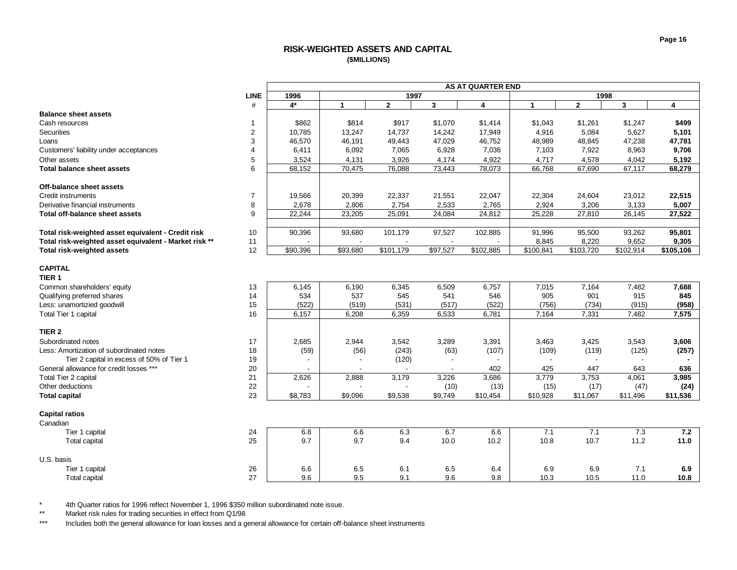# **RISK-WEIGHTED ASSETS AND CAPITAL (\$MILLIONS)**

<span id="page-16-0"></span>

|                                                       |                |          |                          |              |              | <b>AS AT QUARTER END</b> |              |              |                       |                         |
|-------------------------------------------------------|----------------|----------|--------------------------|--------------|--------------|--------------------------|--------------|--------------|-----------------------|-------------------------|
|                                                       | <b>LINE</b>    | 1996     |                          | 1997         |              |                          |              | 1998         |                       |                         |
|                                                       | #              | 4*       | $\mathbf{1}$             | $\mathbf{2}$ | $\mathbf{3}$ | 4                        | $\mathbf{1}$ | $\mathbf{2}$ | 3                     | $\overline{\mathbf{4}}$ |
| <b>Balance sheet assets</b>                           |                |          |                          |              |              |                          |              |              |                       |                         |
| Cash resources                                        | 1              | \$862    | \$814                    | \$917        | \$1,070      | \$1,414                  | \$1,043      | \$1,261      | \$1,247               | \$499                   |
| <b>Securities</b>                                     | $\overline{c}$ | 10,785   | 13,247                   | 14,737       | 14,242       | 17,949                   | 4,916        | 5,084        | 5,627                 | 5,101                   |
| Loans                                                 | 3              | 46,570   | 46,191                   | 49,443       | 47,029       | 46,752                   | 48,989       | 48,845       | 47,238                | 47,781                  |
| Customers' liability under acceptances                | 4              | 6,411    | 6,092                    | 7,065        | 6,928        | 7,036                    | 7,103        | 7,922        | 8,963                 | 9,706                   |
| Other assets                                          | 5              | 3,524    | 4,131                    | 3,926        | 4.174        | 4,922                    | 4,717        | 4,578        | 4,042                 | 5,192                   |
| <b>Total balance sheet assets</b>                     | 6              | 68,152   | 70,475                   | 76,088       | 73,443       | 78,073                   | 66,768       | 67,690       | 67,117                | 68,279                  |
|                                                       |                |          |                          |              |              |                          |              |              |                       |                         |
| Off-balance sheet assets                              |                |          |                          |              |              |                          |              |              |                       |                         |
| <b>Credit instruments</b>                             | $\overline{7}$ | 19,566   | 20,399                   | 22,337       | 21,551       | 22,047                   | 22,304       | 24,604       | 23,012                | 22,515                  |
| Derivative financial instruments                      | 8              | 2,678    | 2,806                    | 2,754        | 2,533        | 2,765                    | 2,924        | 3,206        | 3,133                 | 5,007                   |
| Total off-balance sheet assets                        | 9              | 22,244   | 23,205                   | 25,091       | 24,084       | 24,812                   | 25,228       | 27,810       | 26,145                | 27,522                  |
|                                                       |                |          |                          |              |              |                          |              |              |                       |                         |
| Total risk-weighted asset equivalent - Credit risk    | 10             | 90,396   | 93,680                   | 101,179      | 97,527       | 102,885                  | 91,996       | 95,500       | 93,262                | 95,801                  |
| Total risk-weighted asset equivalent - Market risk ** | 11             |          | $\blacksquare$           |              |              |                          | 8,845        | 8,220        | 9,652                 | 9,305                   |
| <b>Total risk-weighted assets</b>                     | 12             | \$90,396 | \$93,680                 | \$101,179    | \$97,527     | \$102,885                | \$100,841    | \$103,720    | $\overline{$}102,914$ | \$105,106               |
|                                                       |                |          |                          |              |              |                          |              |              |                       |                         |
| <b>CAPITAL</b>                                        |                |          |                          |              |              |                          |              |              |                       |                         |
| TIER <sub>1</sub>                                     |                |          |                          |              |              |                          |              |              |                       |                         |
| Common shareholders' equity                           | 13             | 6,145    | 6,190                    | 6,345        | 6,509        | 6,757                    | 7,015        | 7,164        | 7,482                 | 7,688                   |
| Qualifying preferred shares                           | 14             | 534      | 537                      | 545          | 541          | 546                      | 905          | 901          | 915                   | 845                     |
| Less: unamortizied goodwill                           | 15             | (522)    | (519)                    | (531)        | (517)        | (522)                    | (756)        | (734)        | (915)                 | (958)                   |
| Total Tier 1 capital                                  | 16             | 6,157    | 6,208                    | 6,359        | 6,533        | 6,781                    | 7,164        | 7,331        | 7,482                 | 7,575                   |
|                                                       |                |          |                          |              |              |                          |              |              |                       |                         |
| TIER <sub>2</sub>                                     |                |          |                          |              |              |                          |              |              |                       |                         |
| Subordinated notes                                    | 17             | 2,685    | 2,944                    | 3,542        | 3,289        | 3,391                    | 3,463        | 3,425        | 3,543                 | 3,606                   |
| Less: Amortization of subordinated notes              | 18             | (59)     | (56)                     | (243)        | (63)         | (107)                    | (109)        | (119)        | (125)                 | (257)                   |
| Tier 2 capital in excess of 50% of Tier 1             | 19             |          | $\overline{\phantom{a}}$ | (120)        |              |                          |              |              |                       |                         |
| General allowance for credit losses ***               | 20             |          |                          |              |              | 402                      | 425          | 447          | 643                   | 636                     |
| Total Tier 2 capital                                  | 21             | 2,626    | 2,888                    | 3,179        | 3,226        | 3,686                    | 3,779        | 3,753        | 4,061                 | 3,985                   |
| Other deductions                                      | 22             |          |                          |              | (10)         | (13)                     | (15)         | (17)         | (47)                  | (24)                    |
| <b>Total capital</b>                                  | 23             | \$8,783  | \$9.096                  | \$9.538      | \$9,749      | \$10,454                 | \$10,928     | \$11,067     | \$11,496              | \$11.536                |
|                                                       |                |          |                          |              |              |                          |              |              |                       |                         |
| <b>Capital ratios</b>                                 |                |          |                          |              |              |                          |              |              |                       |                         |
| Canadian                                              |                |          |                          |              |              |                          |              |              |                       |                         |
| Tier 1 capital                                        | 24             | 6.8      | 6.6                      | 6.3          | 6.7          | 6.6                      | 7.1          | 7.1          | 7.3                   | 7.2                     |
| Total capital                                         | 25             | 9.7      | 9.7                      | 9.4          | 10.0         | 10.2                     | 10.8         | 10.7         | 11.2                  | 11.0                    |
|                                                       |                |          |                          |              |              |                          |              |              |                       |                         |
| U.S. basis                                            |                |          |                          |              |              |                          |              |              |                       |                         |
| Tier 1 capital                                        | 26             | 6.6      | 6.5                      | 6.1          | 6.5          | 6.4                      | 6.9          | 6.9          | 7.1                   | 6.9                     |
| Total capital                                         | 27             | 9.6      | 9.5                      | 9.1          | 9.6          | 9.8                      | 10.3         | 10.5         | 11.0                  | 10.8                    |
|                                                       |                |          |                          |              |              |                          |              |              |                       |                         |

\* 4th Quarter ratios for 1996 reflect November 1, 1996 \$350 million subordinated note issue.<br>\*\* Market risk rules for trading securities in effect from 01/98

Market risk rules for trading securities in effect from Q1/98

\*\*\* Includes both the general allowance for loan losses and a general allowance for certain off-balance sheet instruments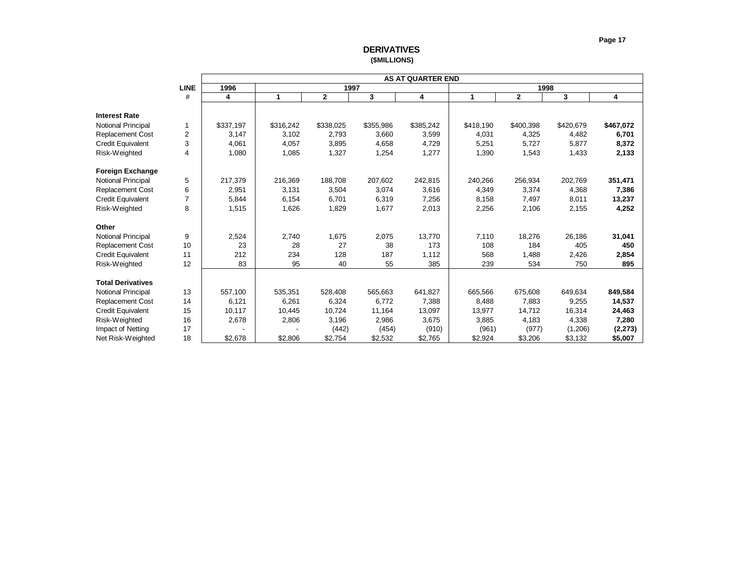<span id="page-17-0"></span>

|                           |                |           |           |                |           | <b>AS AT QUARTER END</b> |           |              |           |           |
|---------------------------|----------------|-----------|-----------|----------------|-----------|--------------------------|-----------|--------------|-----------|-----------|
|                           | <b>LINE</b>    | 1996      |           | 1997           |           |                          |           |              | 1998      |           |
|                           | #              | 4         | 1         | $\overline{2}$ | 3         | 4                        | 1         | $\mathbf{2}$ | 3         | 4         |
|                           |                |           |           |                |           |                          |           |              |           |           |
| <b>Interest Rate</b>      |                |           |           |                |           |                          |           |              |           |           |
| <b>Notional Principal</b> | 1              | \$337,197 | \$316,242 | \$338,025      | \$355,986 | \$385,242                | \$418,190 | \$400,398    | \$420,679 | \$467,072 |
| <b>Replacement Cost</b>   | $\overline{2}$ | 3,147     | 3,102     | 2,793          | 3,660     | 3,599                    | 4,031     | 4,325        | 4,482     | 6,701     |
| <b>Credit Equivalent</b>  | 3              | 4,061     | 4.057     | 3,895          | 4,658     | 4,729                    | 5,251     | 5,727        | 5.877     | 8,372     |
| Risk-Weighted             | $\overline{4}$ | 1,080     | 1,085     | 1,327          | 1,254     | 1,277                    | 1,390     | 1,543        | 1,433     | 2,133     |
| <b>Foreign Exchange</b>   |                |           |           |                |           |                          |           |              |           |           |
| <b>Notional Principal</b> | 5              | 217,379   | 216,369   | 188,708        | 207,602   | 242,815                  | 240,266   | 256,934      | 202,769   | 351,471   |
| <b>Replacement Cost</b>   | 6              | 2,951     | 3,131     | 3,504          | 3,074     | 3,616                    | 4,349     | 3,374        | 4,368     | 7,386     |
| <b>Credit Equivalent</b>  | $\overline{7}$ | 5,844     | 6,154     | 6,701          | 6,319     | 7,256                    | 8,158     | 7,497        | 8.011     | 13,237    |
| Risk-Weighted             | 8              | 1,515     | 1,626     | 1,829          | 1,677     | 2,013                    | 2,256     | 2,106        | 2,155     | 4,252     |
|                           |                |           |           |                |           |                          |           |              |           |           |
| Other                     |                |           |           |                |           |                          |           |              |           |           |
| <b>Notional Principal</b> | 9              | 2,524     | 2,740     | 1,675          | 2,075     | 13,770                   | 7,110     | 18,276       | 26,186    | 31,041    |
| <b>Replacement Cost</b>   | 10             | 23        | 28        | 27             | 38        | 173                      | 108       | 184          | 405       | 450       |
| <b>Credit Equivalent</b>  | 11             | 212       | 234       | 128            | 187       | 1,112                    | 568       | 1,488        | 2,426     | 2,854     |
| Risk-Weighted             | 12             | 83        | 95        | 40             | 55        | 385                      | 239       | 534          | 750       | 895       |
|                           |                |           |           |                |           |                          |           |              |           |           |
| <b>Total Derivatives</b>  |                |           |           |                |           |                          |           |              |           |           |
| <b>Notional Principal</b> | 13             | 557,100   | 535,351   | 528,408        | 565,663   | 641,827                  | 665,566   | 675,608      | 649,634   | 849,584   |
| <b>Replacement Cost</b>   | 14             | 6,121     | 6,261     | 6,324          | 6,772     | 7,388                    | 8,488     | 7,883        | 9,255     | 14,537    |
| <b>Credit Equivalent</b>  | 15             | 10,117    | 10,445    | 10,724         | 11,164    | 13,097                   | 13,977    | 14,712       | 16,314    | 24,463    |
| Risk-Weighted             | 16             | 2,678     | 2,806     | 3,196          | 2,986     | 3,675                    | 3,885     | 4,183        | 4,338     | 7,280     |
| Impact of Netting         | 17             |           |           | (442)          | (454)     | (910)                    | (961)     | (977)        | (1,206)   | (2, 273)  |
| Net Risk-Weighted         | 18             | \$2,678   | \$2,806   | \$2,754        | \$2,532   | \$2,765                  | \$2,924   | \$3,206      | \$3,132   | \$5,007   |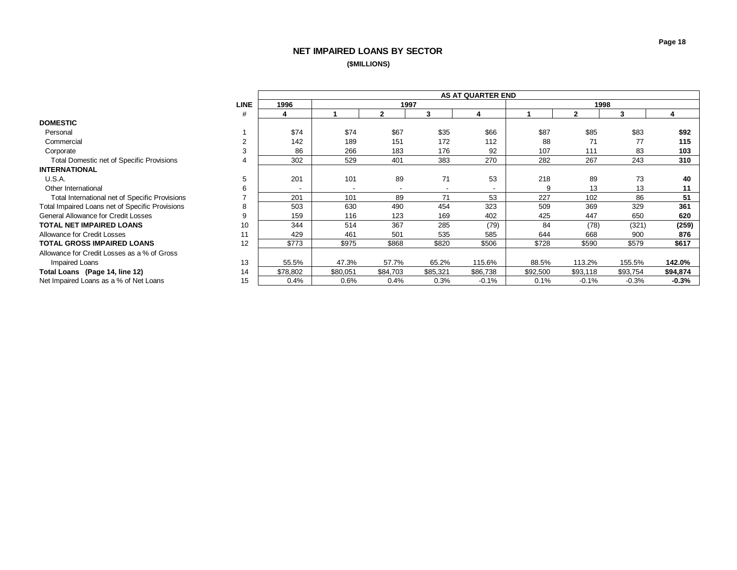# **NET IMPAIRED LOANS BY SECTOR (\$MILLIONS)**

<span id="page-18-0"></span>

|                                                 |             |          |          |                          |                          | <b>AS AT QUARTER END</b> |          |              |          |          |
|-------------------------------------------------|-------------|----------|----------|--------------------------|--------------------------|--------------------------|----------|--------------|----------|----------|
|                                                 | <b>LINE</b> | 1996     |          | 1997                     |                          |                          |          | 1998         |          |          |
|                                                 | #           | 4        |          | 2                        | 3                        |                          |          | $\mathbf{2}$ | 3        | 4        |
| <b>DOMESTIC</b>                                 |             |          |          |                          |                          |                          |          |              |          |          |
| Personal                                        |             | \$74     | \$74     | \$67                     | \$35                     | \$66                     | \$87     | \$85         | \$83     | \$92     |
| Commercial                                      |             | 142      | 189      | 151                      | 172                      | 112                      | 88       | 71           | 77       | 115      |
| Corporate                                       |             | 86       | 266      | 183                      | 176                      | 92                       | 107      | 111          | 83       | 103      |
| Total Domestic net of Specific Provisions       |             | 302      | 529      | 401                      | 383                      | 270                      | 282      | 267          | 243      | 310      |
| <b>INTERNATIONAL</b>                            |             |          |          |                          |                          |                          |          |              |          |          |
| U.S.A.                                          | 5           | 201      | 101      | 89                       | 71                       | 53                       | 218      | 89           | 73       | 40       |
| Other International                             | h           |          |          | $\overline{\phantom{a}}$ | $\overline{\phantom{a}}$ |                          | 9        | 13           | 13       | 11       |
| Total International net of Specific Provisions  |             | 201      | 101      | 89                       | 71                       | 53                       | 227      | 102          | 86       | 51       |
| Total Impaired Loans net of Specific Provisions | 8           | 503      | 630      | 490                      | 454                      | 323                      | 509      | 369          | 329      | 361      |
| General Allowance for Credit Losses             | 9           | 159      | 116      | 123                      | 169                      | 402                      | 425      | 447          | 650      | 620      |
| <b>TOTAL NET IMPAIRED LOANS</b>                 | 10          | 344      | 514      | 367                      | 285                      | (79)                     | 84       | (78)         | (321)    | (259)    |
| Allowance for Credit Losses                     | 11          | 429      | 461      | 501                      | 535                      | 585                      | 644      | 668          | 900      | 876      |
| <b>TOTAL GROSS IMPAIRED LOANS</b>               | 12          | \$773    | \$975    | \$868                    | \$820                    | \$506                    | \$728    | \$590        | \$579    | \$617    |
| Allowance for Credit Losses as a % of Gross     |             |          |          |                          |                          |                          |          |              |          |          |
| Impaired Loans                                  | 13          | 55.5%    | 47.3%    | 57.7%                    | 65.2%                    | 115.6%                   | 88.5%    | 113.2%       | 155.5%   | 142.0%   |
| Total Loans (Page 14, line 12)                  | 14          | \$78,802 | \$80,051 | \$84,703                 | \$85,321                 | \$86,738                 | \$92,500 | \$93,118     | \$93,754 | \$94,874 |
| Net Impaired Loans as a % of Net Loans          | 15          | 0.4%     | 0.6%     | 0.4%                     | 0.3%                     | $-0.1%$                  | 0.1%     | $-0.1%$      | $-0.3%$  | $-0.3%$  |